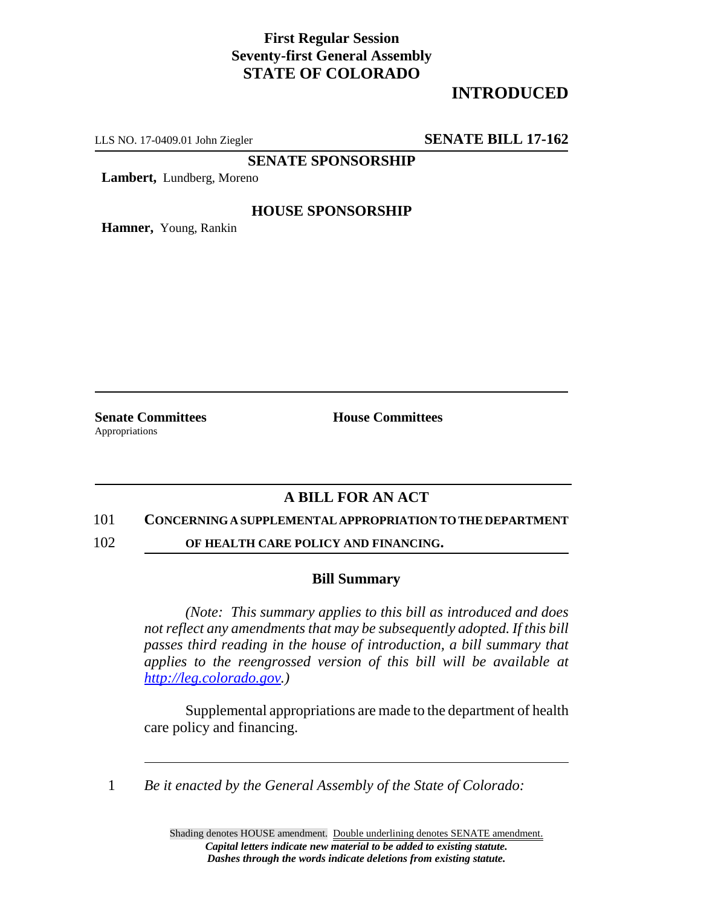## **First Regular Session Seventy-first General Assembly STATE OF COLORADO**

# **INTRODUCED**

LLS NO. 17-0409.01 John Ziegler **SENATE BILL 17-162**

**SENATE SPONSORSHIP**

**Lambert,** Lundberg, Moreno

#### **HOUSE SPONSORSHIP**

**Hamner,** Young, Rankin

Appropriations

**Senate Committees House Committees** 

### **A BILL FOR AN ACT**

#### 101 **CONCERNING A SUPPLEMENTAL APPROPRIATION TO THE DEPARTMENT**

102 **OF HEALTH CARE POLICY AND FINANCING.**

#### **Bill Summary**

*(Note: This summary applies to this bill as introduced and does not reflect any amendments that may be subsequently adopted. If this bill passes third reading in the house of introduction, a bill summary that applies to the reengrossed version of this bill will be available at http://leg.colorado.gov.)*

Supplemental appropriations are made to the department of health care policy and financing.

1 *Be it enacted by the General Assembly of the State of Colorado:*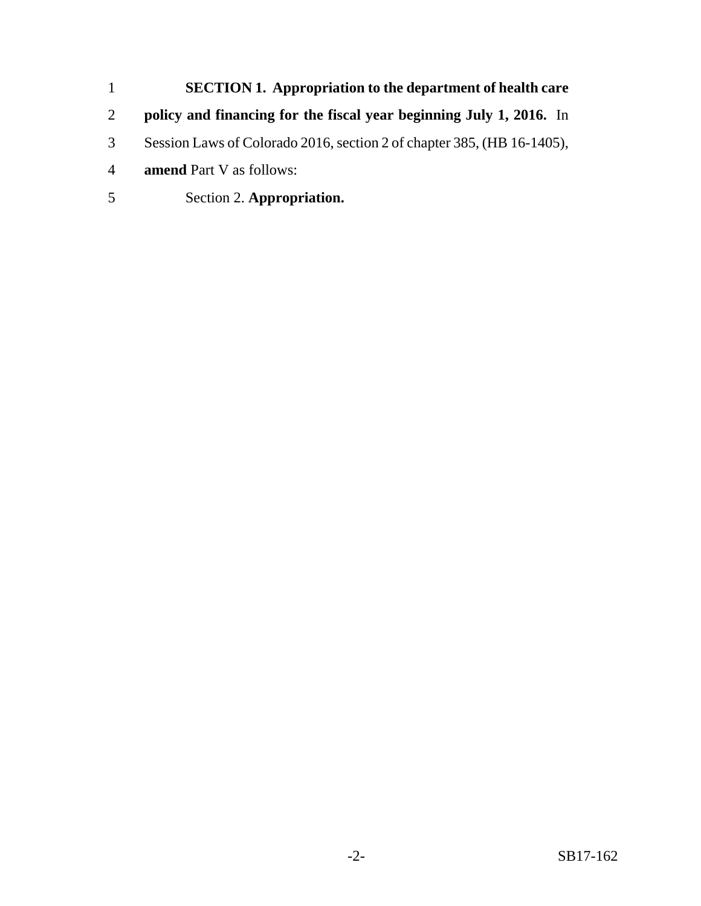- **SECTION 1. Appropriation to the department of health care policy and financing for the fiscal year beginning July 1, 2016.** In Session Laws of Colorado 2016, section 2 of chapter 385, (HB 16-1405), **amend** Part V as follows:
- Section 2. **Appropriation.**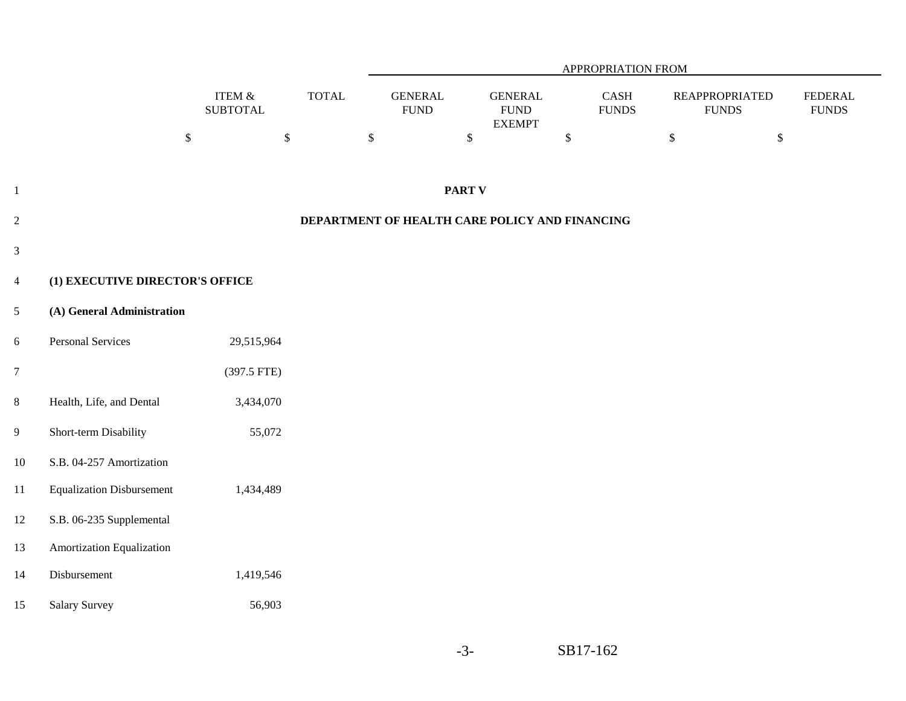|                |                                  |                              | APPROPRIATION FROM |                                |                                                 |                                        |                                        |                                |  |
|----------------|----------------------------------|------------------------------|--------------------|--------------------------------|-------------------------------------------------|----------------------------------------|----------------------------------------|--------------------------------|--|
|                |                                  | ITEM $\&$<br><b>SUBTOTAL</b> | <b>TOTAL</b>       | <b>GENERAL</b><br>${\rm FUND}$ | <b>GENERAL</b><br>${\rm FUND}$<br><b>EXEMPT</b> | $\operatorname{CASH}$<br>${\rm FUNDS}$ | <b>REAPPROPRIATED</b><br>${\rm FUNDS}$ | <b>FEDERAL</b><br><b>FUNDS</b> |  |
|                |                                  | $\mathbb S$<br>$\$$          |                    | $\mathbb{S}$                   | $\mathbb{S}$                                    | $\$$                                   | $\mathbb{S}$<br>$\mathbb{S}$           |                                |  |
| $\mathbf{1}$   |                                  |                              |                    |                                | <b>PART V</b>                                   |                                        |                                        |                                |  |
|                |                                  |                              |                    |                                |                                                 |                                        |                                        |                                |  |
| $\sqrt{2}$     |                                  |                              |                    |                                | DEPARTMENT OF HEALTH CARE POLICY AND FINANCING  |                                        |                                        |                                |  |
| $\mathfrak{Z}$ |                                  |                              |                    |                                |                                                 |                                        |                                        |                                |  |
| $\overline{4}$ | (1) EXECUTIVE DIRECTOR'S OFFICE  |                              |                    |                                |                                                 |                                        |                                        |                                |  |
| $\mathfrak{S}$ | (A) General Administration       |                              |                    |                                |                                                 |                                        |                                        |                                |  |
| $6\,$          | Personal Services                | 29,515,964                   |                    |                                |                                                 |                                        |                                        |                                |  |
| $\overline{7}$ |                                  | (397.5 FTE)                  |                    |                                |                                                 |                                        |                                        |                                |  |
| $8\,$          | Health, Life, and Dental         | 3,434,070                    |                    |                                |                                                 |                                        |                                        |                                |  |
| $\overline{9}$ | Short-term Disability            | 55,072                       |                    |                                |                                                 |                                        |                                        |                                |  |
| 10             | S.B. 04-257 Amortization         |                              |                    |                                |                                                 |                                        |                                        |                                |  |
| $11\,$         | <b>Equalization Disbursement</b> | 1,434,489                    |                    |                                |                                                 |                                        |                                        |                                |  |
| 12             | S.B. 06-235 Supplemental         |                              |                    |                                |                                                 |                                        |                                        |                                |  |
| 13             | Amortization Equalization        |                              |                    |                                |                                                 |                                        |                                        |                                |  |
| $14$           | Disbursement                     | 1,419,546                    |                    |                                |                                                 |                                        |                                        |                                |  |
| 15             | <b>Salary Survey</b>             | 56,903                       |                    |                                |                                                 |                                        |                                        |                                |  |
|                |                                  |                              |                    |                                |                                                 |                                        |                                        |                                |  |

-3-

SB17-162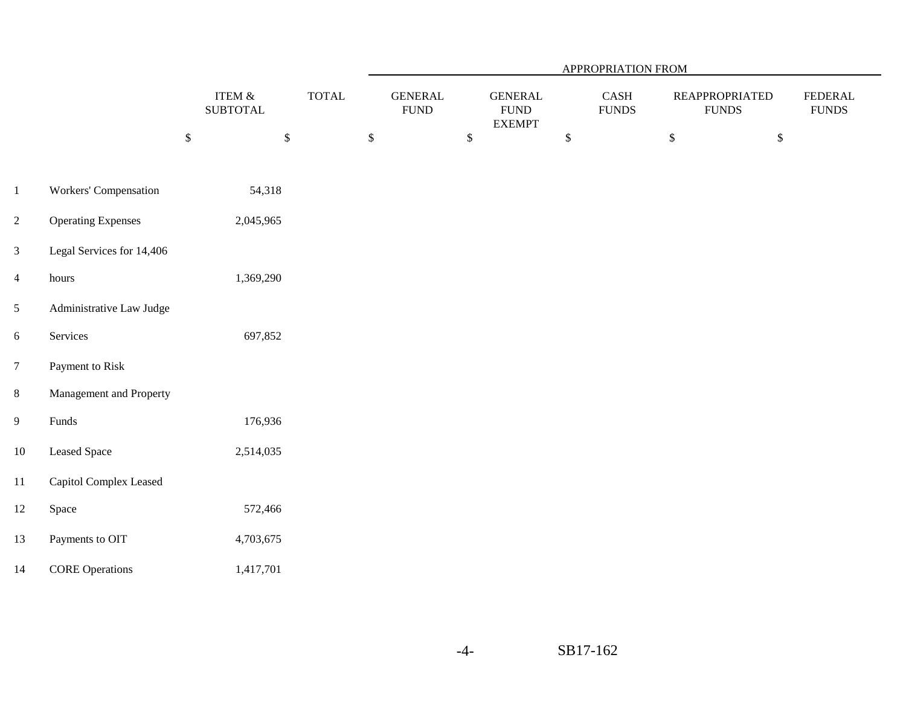|                  |                           |                              |              | <b>APPROPRIATION FROM</b>      |              |                                                 |              |                                           |    |                                        |                                    |
|------------------|---------------------------|------------------------------|--------------|--------------------------------|--------------|-------------------------------------------------|--------------|-------------------------------------------|----|----------------------------------------|------------------------------------|
|                  |                           | ITEM $\&$<br><b>SUBTOTAL</b> | <b>TOTAL</b> | <b>GENERAL</b><br>${\rm FUND}$ |              | <b>GENERAL</b><br>${\rm FUND}$<br><b>EXEMPT</b> |              | $\operatorname{CASH}$<br>${\hbox{FUNDS}}$ |    | <b>REAPPROPRIATED</b><br>${\rm FUNDS}$ | <b>FEDERAL</b><br>${\hbox{FUNDS}}$ |
|                  |                           | $\mathbb S$<br>$\mathbb{S}$  |              | $\mathbb S$                    | $\mathbb{S}$ |                                                 | $\mathbb{S}$ |                                           | \$ | $\$$                                   |                                    |
| $\mathbf{1}$     | Workers' Compensation     | 54,318                       |              |                                |              |                                                 |              |                                           |    |                                        |                                    |
| $\overline{2}$   | <b>Operating Expenses</b> | 2,045,965                    |              |                                |              |                                                 |              |                                           |    |                                        |                                    |
| $\mathfrak{Z}$   | Legal Services for 14,406 |                              |              |                                |              |                                                 |              |                                           |    |                                        |                                    |
| $\overline{4}$   | hours                     | 1,369,290                    |              |                                |              |                                                 |              |                                           |    |                                        |                                    |
| $\mathfrak{S}$   | Administrative Law Judge  |                              |              |                                |              |                                                 |              |                                           |    |                                        |                                    |
| $\boldsymbol{6}$ | Services                  | 697,852                      |              |                                |              |                                                 |              |                                           |    |                                        |                                    |
| $7\phantom{.}$   | Payment to Risk           |                              |              |                                |              |                                                 |              |                                           |    |                                        |                                    |
| $8\,$            | Management and Property   |                              |              |                                |              |                                                 |              |                                           |    |                                        |                                    |
| $\overline{9}$   | Funds                     | 176,936                      |              |                                |              |                                                 |              |                                           |    |                                        |                                    |
| $10\,$           | <b>Leased Space</b>       | 2,514,035                    |              |                                |              |                                                 |              |                                           |    |                                        |                                    |
| $11\,$           | Capitol Complex Leased    |                              |              |                                |              |                                                 |              |                                           |    |                                        |                                    |
| $12\,$           | Space                     | 572,466                      |              |                                |              |                                                 |              |                                           |    |                                        |                                    |
| 13               | Payments to OIT           | 4,703,675                    |              |                                |              |                                                 |              |                                           |    |                                        |                                    |
| 14               | <b>CORE Operations</b>    | 1,417,701                    |              |                                |              |                                                 |              |                                           |    |                                        |                                    |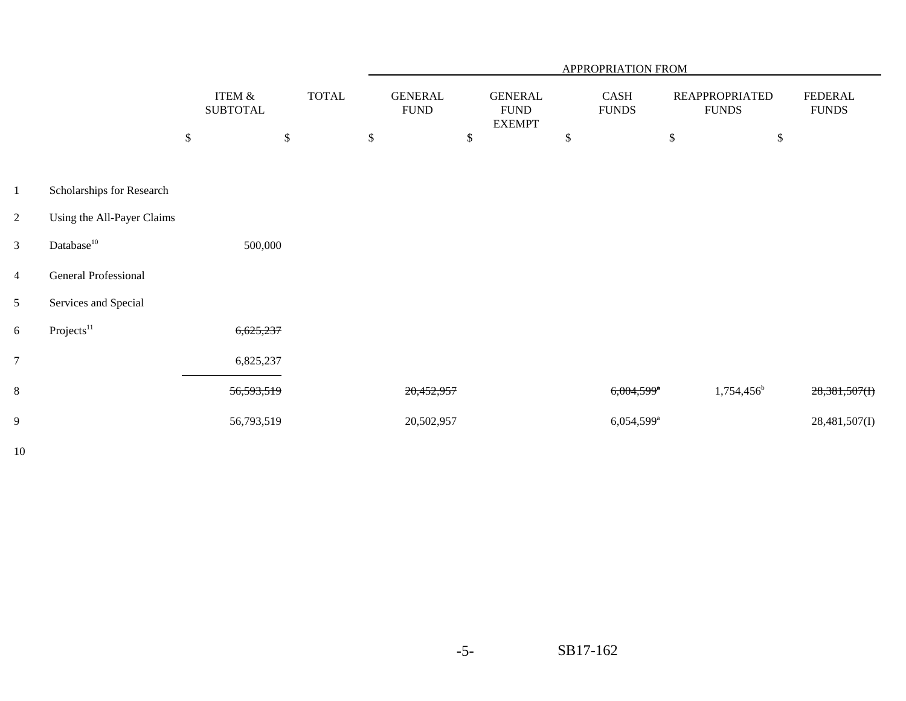|                |                            |                              |              | APPROPRIATION FROM |                               |    |                                                |    |                          |                           |                                       |                                |
|----------------|----------------------------|------------------------------|--------------|--------------------|-------------------------------|----|------------------------------------------------|----|--------------------------|---------------------------|---------------------------------------|--------------------------------|
|                |                            | ITEM $\&$<br><b>SUBTOTAL</b> | <b>TOTAL</b> |                    | <b>GENERAL</b><br><b>FUND</b> |    | <b>GENERAL</b><br><b>FUND</b><br><b>EXEMPT</b> |    | CASH<br><b>FUNDS</b>     |                           | <b>REAPPROPRIATED</b><br><b>FUNDS</b> | <b>FEDERAL</b><br><b>FUNDS</b> |
|                |                            | \$<br>$\$\,$                 |              | \$                 |                               | \$ |                                                | \$ |                          | $\boldsymbol{\mathsf{S}}$ | $\$$                                  |                                |
|                |                            |                              |              |                    |                               |    |                                                |    |                          |                           |                                       |                                |
| $\mathbf{1}$   | Scholarships for Research  |                              |              |                    |                               |    |                                                |    |                          |                           |                                       |                                |
| $\overline{2}$ | Using the All-Payer Claims |                              |              |                    |                               |    |                                                |    |                          |                           |                                       |                                |
| $\overline{3}$ | Database <sup>10</sup>     | 500,000                      |              |                    |                               |    |                                                |    |                          |                           |                                       |                                |
| $\overline{4}$ | General Professional       |                              |              |                    |                               |    |                                                |    |                          |                           |                                       |                                |
| 5 <sup>5</sup> | Services and Special       |                              |              |                    |                               |    |                                                |    |                          |                           |                                       |                                |
| 6              | Projects <sup>11</sup>     | 6,625,237                    |              |                    |                               |    |                                                |    |                          |                           |                                       |                                |
| $\overline{7}$ |                            | 6,825,237                    |              |                    |                               |    |                                                |    |                          |                           |                                       |                                |
| 8              |                            | 56,593,519                   |              |                    | 20,452,957                    |    |                                                |    | $6,004,599$ <sup>*</sup> |                           | $1,754,456^b$                         | $28,381,507$ (I)               |
| 9              |                            | 56,793,519                   |              |                    | 20,502,957                    |    |                                                |    | 6,054,599 <sup>a</sup>   |                           |                                       | 28,481,507(I)                  |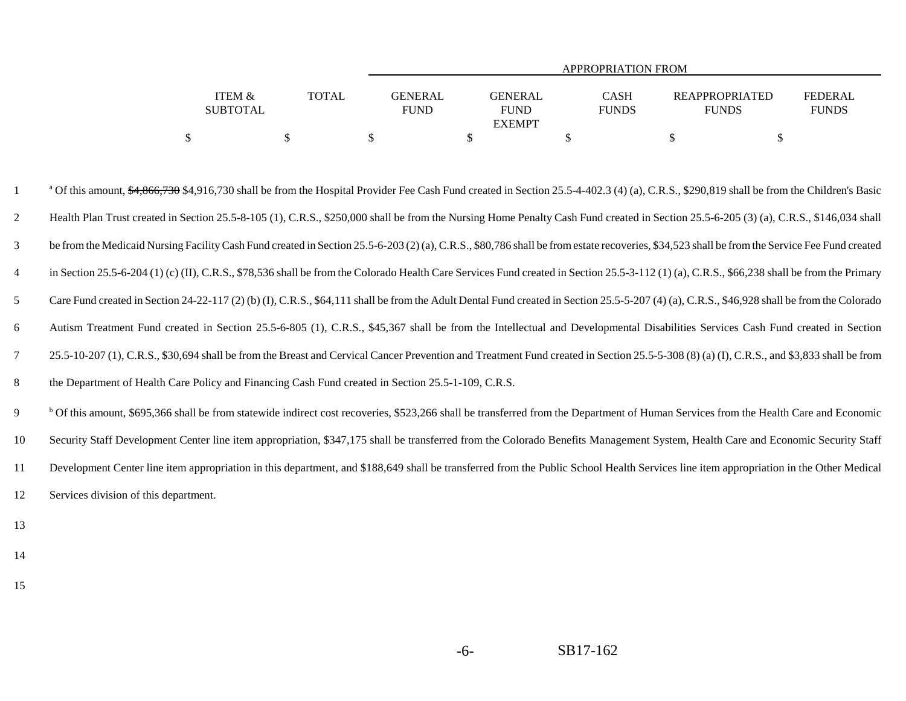|                   |              | APPROPRIATION FROM |               |              |                       |                |  |  |  |  |  |  |  |
|-------------------|--------------|--------------------|---------------|--------------|-----------------------|----------------|--|--|--|--|--|--|--|
|                   |              |                    |               |              |                       |                |  |  |  |  |  |  |  |
| <b>ITEM &amp;</b> | <b>TOTAL</b> | <b>GENERAL</b>     | GENERAL       | CASH         | <b>REAPPROPRIATED</b> | <b>FEDERAL</b> |  |  |  |  |  |  |  |
| <b>SUBTOTAL</b>   |              | <b>FUND</b>        | <b>FUND</b>   | <b>FUNDS</b> | <b>FUNDS</b>          | <b>FUNDS</b>   |  |  |  |  |  |  |  |
|                   |              |                    | <b>EXEMPT</b> |              |                       |                |  |  |  |  |  |  |  |
|                   |              |                    |               |              |                       |                |  |  |  |  |  |  |  |

<sup>a</sup> Of this amount, \$4,866,730 \$4,916,730 shall be from the Hospital Provider Fee Cash Fund created in Section 25.5-4-402.3 (4) (a), C.R.S., \$290,819 shall be from the Children's Basic 2 Health Plan Trust created in Section 25.5-8-105 (1), C.R.S., \$250,000 shall be from the Nursing Home Penalty Cash Fund created in Section 25.5-6-205 (3) (a), C.R.S., \$146,034 shall 3 be from the Medicaid Nursing Facility Cash Fund created in Section 25.5-6-203 (2) (a), C.R.S., \$80,786 shall be from estate recoveries, \$34,523 shall be from the Service Fee Fund created 4in Section 25.5-6-204 (1) (c) (II), C.R.S., \$78,536 shall be from the Colorado Health Care Services Fund created in Section 25.5-3-112 (1) (a), C.R.S., \$66,238 shall be from the Primary 5Care Fund created in Section 24-22-117 (2) (b) (I), C.R.S., \$64,111 shall be from the Adult Dental Fund created in Section 25.5-5-207 (4) (a), C.R.S., \$46,928 shall be from the Colorado 6 Autism Treatment Fund created in Section 25.5-6-805 (1), C.R.S., \$45,367 shall be from the Intellectual and Developmental Disabilities Services Cash Fund created in Section 7 25.5-10-207 (1), C.R.S., \$30,694 shall be from the Breast and Cervical Cancer Prevention and Treatment Fund created in Section 25.5-5-308 (8) (a) (I), C.R.S., and \$3,833 shall be from 8the Department of Health Care Policy and Financing Cash Fund created in Section 25.5-1-109, C.R.S.

<sup>b</sup> Of this amount, \$695,366 shall be from statewide indirect cost recoveries, \$523,266 shall be transferred from the Department of Human Services from the Health Care and Economic 10 Security Staff Development Center line item appropriation, \$347,175 shall be transferred from the Colorado Benefits Management System, Health Care and Economic Security Staff 11 Development Center line item appropriation in this department, and \$188,649 shall be transferred from the Public School Health Services line item appropriation in the Other Medical 12Services division of this department.

- 13
- 14
- 15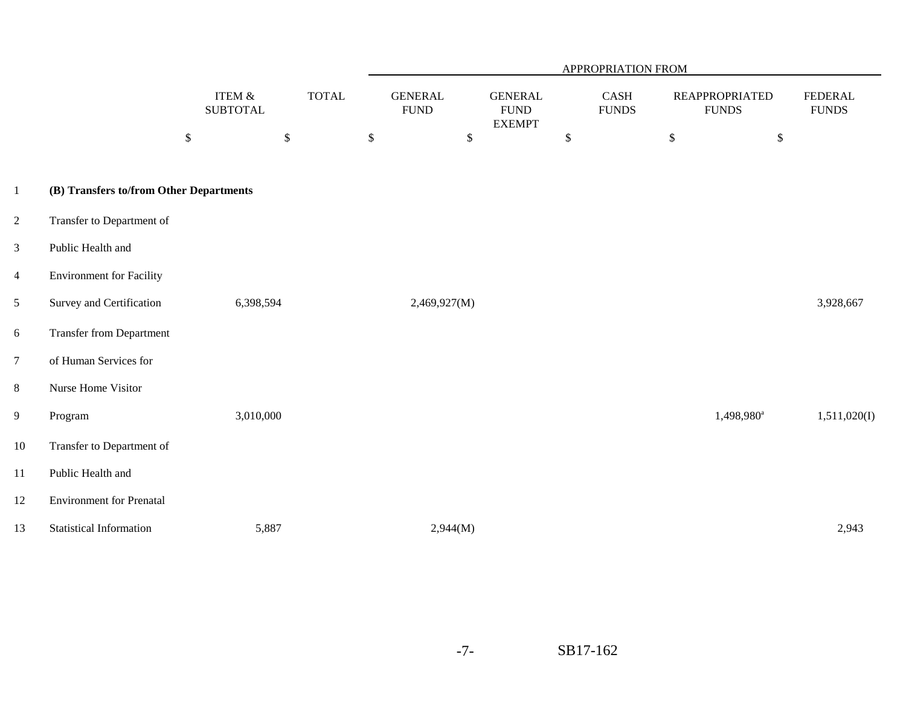|                |                                         |                                      |              |                               |                                                 | APPROPRIATION FROM   |                                       |                                |
|----------------|-----------------------------------------|--------------------------------------|--------------|-------------------------------|-------------------------------------------------|----------------------|---------------------------------------|--------------------------------|
|                |                                         | <b>ITEM &amp;</b><br><b>SUBTOTAL</b> | <b>TOTAL</b> | <b>GENERAL</b><br><b>FUND</b> | <b>GENERAL</b><br>${\rm FUND}$<br><b>EXEMPT</b> | CASH<br><b>FUNDS</b> | <b>REAPPROPRIATED</b><br><b>FUNDS</b> | <b>FEDERAL</b><br><b>FUNDS</b> |
|                |                                         | $\mathbb{S}$<br>$\$$                 |              | $\$$                          | $\$$                                            | \$                   | $\mathbb{S}$<br>$\mathbb{S}$          |                                |
| $\mathbf{1}$   | (B) Transfers to/from Other Departments |                                      |              |                               |                                                 |                      |                                       |                                |
| $\mathbf{2}$   | Transfer to Department of               |                                      |              |                               |                                                 |                      |                                       |                                |
| $\mathfrak{Z}$ | Public Health and                       |                                      |              |                               |                                                 |                      |                                       |                                |
| $\overline{4}$ | <b>Environment for Facility</b>         |                                      |              |                               |                                                 |                      |                                       |                                |
| 5              | Survey and Certification                | 6,398,594                            |              | 2,469,927(M)                  |                                                 |                      |                                       | 3,928,667                      |
| 6              | <b>Transfer from Department</b>         |                                      |              |                               |                                                 |                      |                                       |                                |
| $\overline{7}$ | of Human Services for                   |                                      |              |                               |                                                 |                      |                                       |                                |
| $8\,$          | Nurse Home Visitor                      |                                      |              |                               |                                                 |                      |                                       |                                |
| 9              | Program                                 | 3,010,000                            |              |                               |                                                 |                      | 1,498,980 <sup>a</sup>                | 1,511,020(I)                   |
| $10\,$         | Transfer to Department of               |                                      |              |                               |                                                 |                      |                                       |                                |
| 11             | Public Health and                       |                                      |              |                               |                                                 |                      |                                       |                                |
| 12             | <b>Environment for Prenatal</b>         |                                      |              |                               |                                                 |                      |                                       |                                |
| 13             | <b>Statistical Information</b>          | 5,887                                |              | 2,944(M)                      |                                                 |                      |                                       | 2,943                          |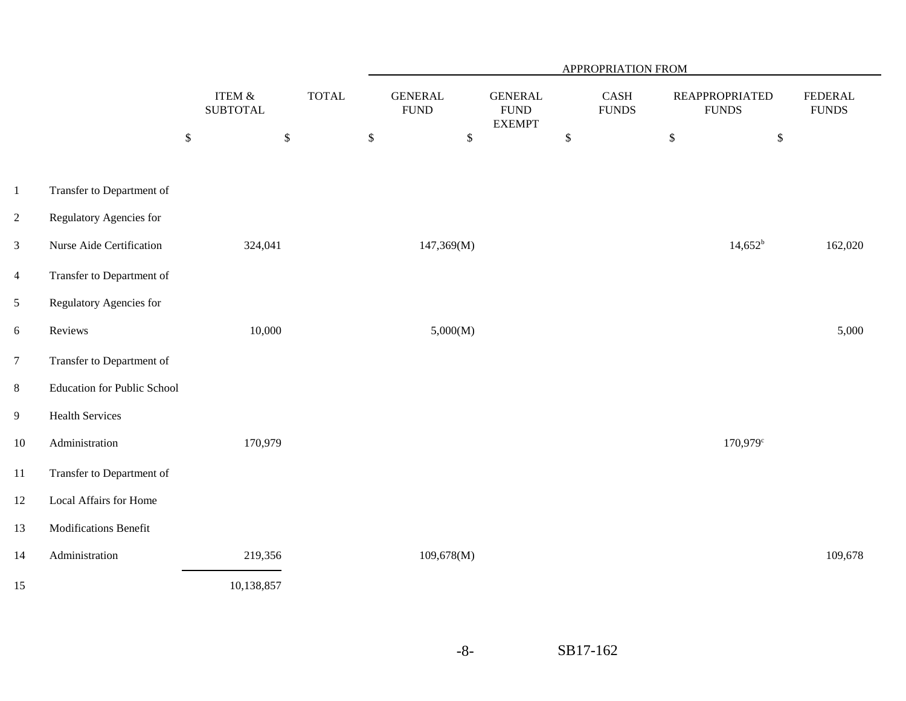|                |                                    |                              | APPROPRIATION FROM |                               |                                                 |                                       |                                       |                                    |
|----------------|------------------------------------|------------------------------|--------------------|-------------------------------|-------------------------------------------------|---------------------------------------|---------------------------------------|------------------------------------|
|                |                                    | ITEM $\&$<br><b>SUBTOTAL</b> | <b>TOTAL</b>       | <b>GENERAL</b><br><b>FUND</b> | <b>GENERAL</b><br>${\rm FUND}$<br><b>EXEMPT</b> | $\operatorname{CASH}$<br><b>FUNDS</b> | <b>REAPPROPRIATED</b><br><b>FUNDS</b> | <b>FEDERAL</b><br>${\hbox{FUNDS}}$ |
|                |                                    | $\mathbb{S}$<br>$\mathbb{S}$ | $\mathbb{S}$       | $\$\,$                        |                                                 | $\mathbb{S}$                          | $\mathbb{S}$<br>$\mathbb{S}$          |                                    |
| $\mathbf{1}$   | Transfer to Department of          |                              |                    |                               |                                                 |                                       |                                       |                                    |
| $\overline{c}$ | Regulatory Agencies for            |                              |                    |                               |                                                 |                                       |                                       |                                    |
| 3              | Nurse Aide Certification           | 324,041                      |                    | 147,369(M)                    |                                                 |                                       | $14,652^b$                            | 162,020                            |
| $\overline{4}$ | Transfer to Department of          |                              |                    |                               |                                                 |                                       |                                       |                                    |
| $\mathfrak{S}$ | Regulatory Agencies for            |                              |                    |                               |                                                 |                                       |                                       |                                    |
| $\sqrt{6}$     | Reviews                            | 10,000                       |                    | 5,000(M)                      |                                                 |                                       |                                       | 5,000                              |
| $\overline{7}$ | Transfer to Department of          |                              |                    |                               |                                                 |                                       |                                       |                                    |
| $8\,$          | <b>Education for Public School</b> |                              |                    |                               |                                                 |                                       |                                       |                                    |
| $\overline{9}$ | <b>Health Services</b>             |                              |                    |                               |                                                 |                                       |                                       |                                    |
| $10\,$         | Administration                     | 170,979                      |                    |                               |                                                 |                                       | 170,979 <sup>c</sup>                  |                                    |
| $11\,$         | Transfer to Department of          |                              |                    |                               |                                                 |                                       |                                       |                                    |
| 12             | Local Affairs for Home             |                              |                    |                               |                                                 |                                       |                                       |                                    |
| 13             | Modifications Benefit              |                              |                    |                               |                                                 |                                       |                                       |                                    |
| 14             | Administration                     | 219,356                      |                    | 109,678(M)                    |                                                 |                                       |                                       | 109,678                            |
| 15             |                                    | 10,138,857                   |                    |                               |                                                 |                                       |                                       |                                    |

-8-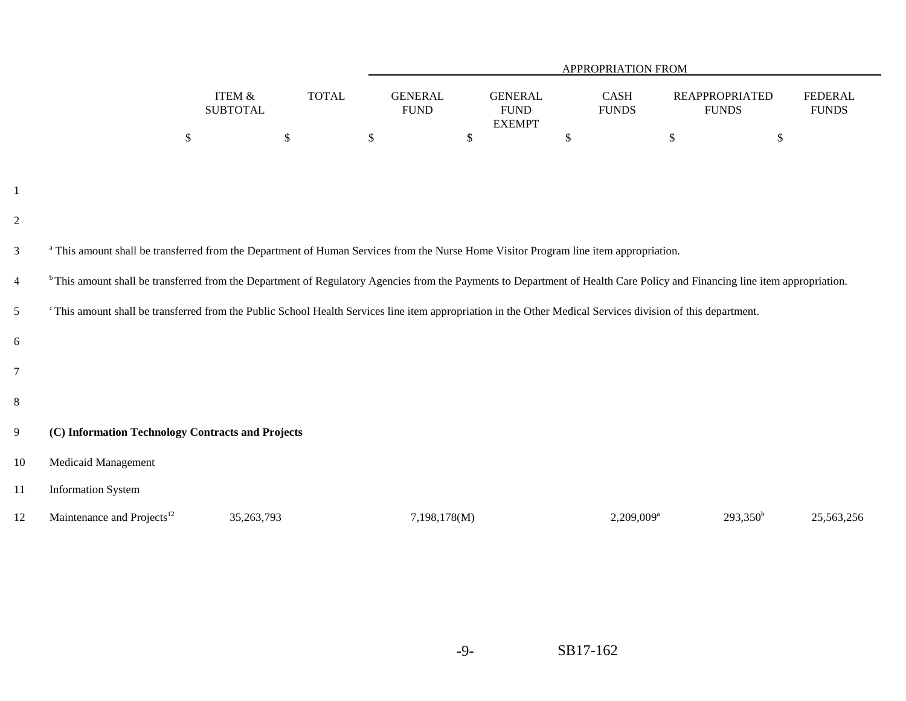|                |                                                                                                                                                                         |                                      |               | APPROPRIATION FROM                                                                                                                                                                    |                                                |                          |                                       |                                |  |  |  |  |  |
|----------------|-------------------------------------------------------------------------------------------------------------------------------------------------------------------------|--------------------------------------|---------------|---------------------------------------------------------------------------------------------------------------------------------------------------------------------------------------|------------------------------------------------|--------------------------|---------------------------------------|--------------------------------|--|--|--|--|--|
|                |                                                                                                                                                                         | <b>ITEM &amp;</b><br><b>SUBTOTAL</b> | <b>TOTAL</b>  | <b>GENERAL</b><br><b>FUND</b>                                                                                                                                                         | <b>GENERAL</b><br><b>FUND</b><br><b>EXEMPT</b> | CASH<br><b>FUNDS</b>     | <b>REAPPROPRIATED</b><br><b>FUNDS</b> | <b>FEDERAL</b><br><b>FUNDS</b> |  |  |  |  |  |
|                |                                                                                                                                                                         | \$<br>$\mathcal{S}$                  | $\mathcal{S}$ |                                                                                                                                                                                       | $\mathbb{S}$                                   | \$                       | $\mathcal{S}$<br>$\mathbb{S}$         |                                |  |  |  |  |  |
|                |                                                                                                                                                                         |                                      |               |                                                                                                                                                                                       |                                                |                          |                                       |                                |  |  |  |  |  |
| -1             |                                                                                                                                                                         |                                      |               |                                                                                                                                                                                       |                                                |                          |                                       |                                |  |  |  |  |  |
| $\overline{2}$ |                                                                                                                                                                         |                                      |               |                                                                                                                                                                                       |                                                |                          |                                       |                                |  |  |  |  |  |
| 3              | <sup>a</sup> This amount shall be transferred from the Department of Human Services from the Nurse Home Visitor Program line item appropriation.                        |                                      |               |                                                                                                                                                                                       |                                                |                          |                                       |                                |  |  |  |  |  |
| $\overline{4}$ |                                                                                                                                                                         |                                      |               | <sup>b</sup> This amount shall be transferred from the Department of Regulatory Agencies from the Payments to Department of Health Care Policy and Financing line item appropriation. |                                                |                          |                                       |                                |  |  |  |  |  |
| $\mathfrak{S}$ | <sup>c</sup> This amount shall be transferred from the Public School Health Services line item appropriation in the Other Medical Services division of this department. |                                      |               |                                                                                                                                                                                       |                                                |                          |                                       |                                |  |  |  |  |  |
| 6              |                                                                                                                                                                         |                                      |               |                                                                                                                                                                                       |                                                |                          |                                       |                                |  |  |  |  |  |
| 7              |                                                                                                                                                                         |                                      |               |                                                                                                                                                                                       |                                                |                          |                                       |                                |  |  |  |  |  |
| 8              |                                                                                                                                                                         |                                      |               |                                                                                                                                                                                       |                                                |                          |                                       |                                |  |  |  |  |  |
| 9              | (C) Information Technology Contracts and Projects                                                                                                                       |                                      |               |                                                                                                                                                                                       |                                                |                          |                                       |                                |  |  |  |  |  |
| 10             | <b>Medicaid Management</b>                                                                                                                                              |                                      |               |                                                                                                                                                                                       |                                                |                          |                                       |                                |  |  |  |  |  |
| 11             | <b>Information System</b>                                                                                                                                               |                                      |               |                                                                                                                                                                                       |                                                |                          |                                       |                                |  |  |  |  |  |
| 12             | Maintenance and Projects <sup>12</sup>                                                                                                                                  | 35,263,793                           |               | 7,198,178(M)                                                                                                                                                                          |                                                | $2,209,009$ <sup>a</sup> | $293,350^b$                           | 25,563,256                     |  |  |  |  |  |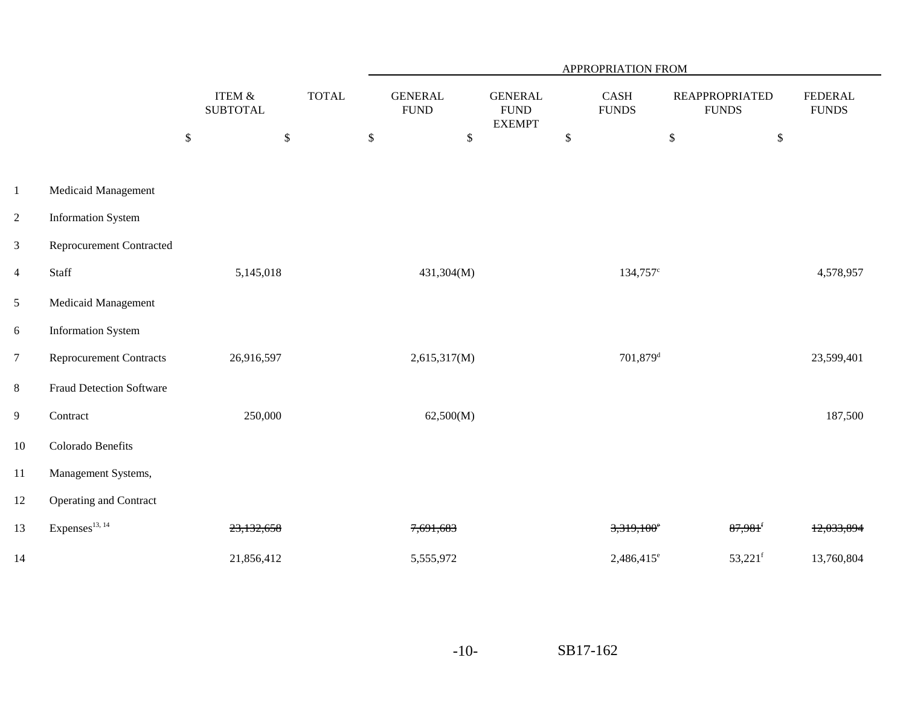|                |                                 |                                      |              | APPROPRIATION FROM            |            |                                                |                      |                                       |                                |  |  |  |
|----------------|---------------------------------|--------------------------------------|--------------|-------------------------------|------------|------------------------------------------------|----------------------|---------------------------------------|--------------------------------|--|--|--|
|                |                                 | <b>ITEM &amp;</b><br><b>SUBTOTAL</b> | <b>TOTAL</b> | <b>GENERAL</b><br><b>FUND</b> |            | <b>GENERAL</b><br><b>FUND</b><br><b>EXEMPT</b> | CASH<br><b>FUNDS</b> | <b>REAPPROPRIATED</b><br><b>FUNDS</b> | <b>FEDERAL</b><br><b>FUNDS</b> |  |  |  |
|                |                                 | $\$$                                 | \$           | $\mathbb{S}$                  | $\$$       | $\mathbb{S}$                                   | $\mathbb{S}$         | $\mathbb{S}$                          |                                |  |  |  |
| $\,1$          | Medicaid Management             |                                      |              |                               |            |                                                |                      |                                       |                                |  |  |  |
| $\overline{2}$ | <b>Information System</b>       |                                      |              |                               |            |                                                |                      |                                       |                                |  |  |  |
| $\mathfrak{Z}$ | <b>Reprocurement Contracted</b> |                                      |              |                               |            |                                                |                      |                                       |                                |  |  |  |
| $\overline{4}$ | Staff                           | 5,145,018                            |              |                               | 431,304(M) |                                                | 134,757 <sup>c</sup> |                                       | 4,578,957                      |  |  |  |
| $\mathfrak{S}$ | Medicaid Management             |                                      |              |                               |            |                                                |                      |                                       |                                |  |  |  |
| 6              | <b>Information System</b>       |                                      |              |                               |            |                                                |                      |                                       |                                |  |  |  |
| $\overline{7}$ | Reprocurement Contracts         | 26,916,597                           |              | 2,615,317(M)                  |            |                                                | 701,879 <sup>d</sup> |                                       | 23,599,401                     |  |  |  |
| 8              | <b>Fraud Detection Software</b> |                                      |              |                               |            |                                                |                      |                                       |                                |  |  |  |
| 9              | Contract                        | 250,000                              |              |                               | 62,500(M)  |                                                |                      |                                       | 187,500                        |  |  |  |
| $10\,$         | Colorado Benefits               |                                      |              |                               |            |                                                |                      |                                       |                                |  |  |  |
| 11             | Management Systems,             |                                      |              |                               |            |                                                |                      |                                       |                                |  |  |  |
| 12             | Operating and Contract          |                                      |              |                               |            |                                                |                      |                                       |                                |  |  |  |
| 13             | Expenses $^{13, 14}$            | 23,132,658                           |              | 7,691,683                     |            |                                                | $3,319,100^{\circ}$  | $87,981$ <sup>f</sup>                 | 12,033,894                     |  |  |  |
| 14             |                                 | 21,856,412                           |              | 5,555,972                     |            |                                                | $2,486,415^e$        | $53,221$ <sup>f</sup>                 | 13,760,804                     |  |  |  |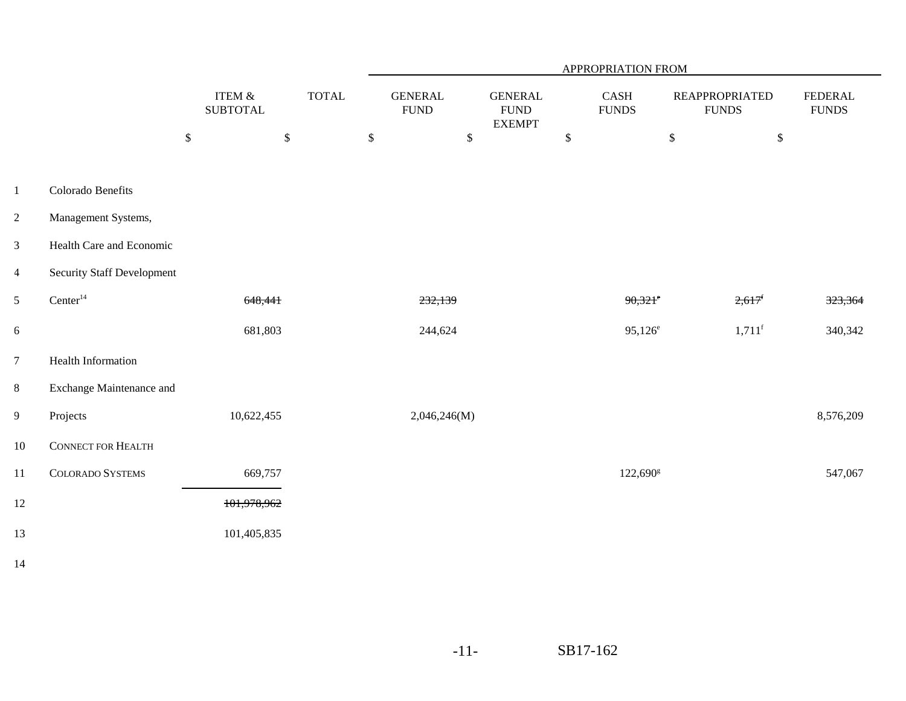|                         |                                   |                                      |              | APPROPRIATION FROM             |             |                                                 |              |                       |                                       |                                 |
|-------------------------|-----------------------------------|--------------------------------------|--------------|--------------------------------|-------------|-------------------------------------------------|--------------|-----------------------|---------------------------------------|---------------------------------|
|                         |                                   | <b>ITEM &amp;</b><br><b>SUBTOTAL</b> | <b>TOTAL</b> | <b>GENERAL</b><br>${\rm FUND}$ |             | <b>GENERAL</b><br>${\rm FUND}$<br><b>EXEMPT</b> |              | CASH<br>${\rm FUNDS}$ | <b>REAPPROPRIATED</b><br><b>FUNDS</b> | <b>FEDERAL</b><br>${\rm FUNDS}$ |
|                         |                                   | $\sqrt$<br>$\mathbb{S}$              |              | $\,$                           | $\mathbb S$ |                                                 | $\mathbb{S}$ |                       | $\boldsymbol{\mathsf{S}}$             | $\mathbb{S}$                    |
|                         |                                   |                                      |              |                                |             |                                                 |              |                       |                                       |                                 |
| $\mathbf{1}$            | Colorado Benefits                 |                                      |              |                                |             |                                                 |              |                       |                                       |                                 |
| $\overline{c}$          | Management Systems,               |                                      |              |                                |             |                                                 |              |                       |                                       |                                 |
| $\overline{3}$          | Health Care and Economic          |                                      |              |                                |             |                                                 |              |                       |                                       |                                 |
| $\overline{\mathbf{4}}$ | <b>Security Staff Development</b> |                                      |              |                                |             |                                                 |              |                       |                                       |                                 |
| 5                       | Center <sup>14</sup>              | 648,441                              |              | 232,139                        |             |                                                 |              | $90,321$ <sup>e</sup> | $2,617$ <sup>f</sup>                  | 323,364                         |
| 6                       |                                   | 681,803                              |              | 244,624                        |             |                                                 |              | $95,126^e$            | $1,711$ <sup>f</sup>                  | 340,342                         |
| $\overline{7}$          | Health Information                |                                      |              |                                |             |                                                 |              |                       |                                       |                                 |
| 8                       | Exchange Maintenance and          |                                      |              |                                |             |                                                 |              |                       |                                       |                                 |
| 9                       | Projects                          | 10,622,455                           |              | 2,046,246(M)                   |             |                                                 |              |                       |                                       | 8,576,209                       |
| $10\,$                  | <b>CONNECT FOR HEALTH</b>         |                                      |              |                                |             |                                                 |              |                       |                                       |                                 |
| 11                      | <b>COLORADO SYSTEMS</b>           | 669,757                              |              |                                |             |                                                 |              | $122,690^{\rm g}$     |                                       | 547,067                         |
| 12                      |                                   | 101,978,962                          |              |                                |             |                                                 |              |                       |                                       |                                 |
| 13                      |                                   | 101,405,835                          |              |                                |             |                                                 |              |                       |                                       |                                 |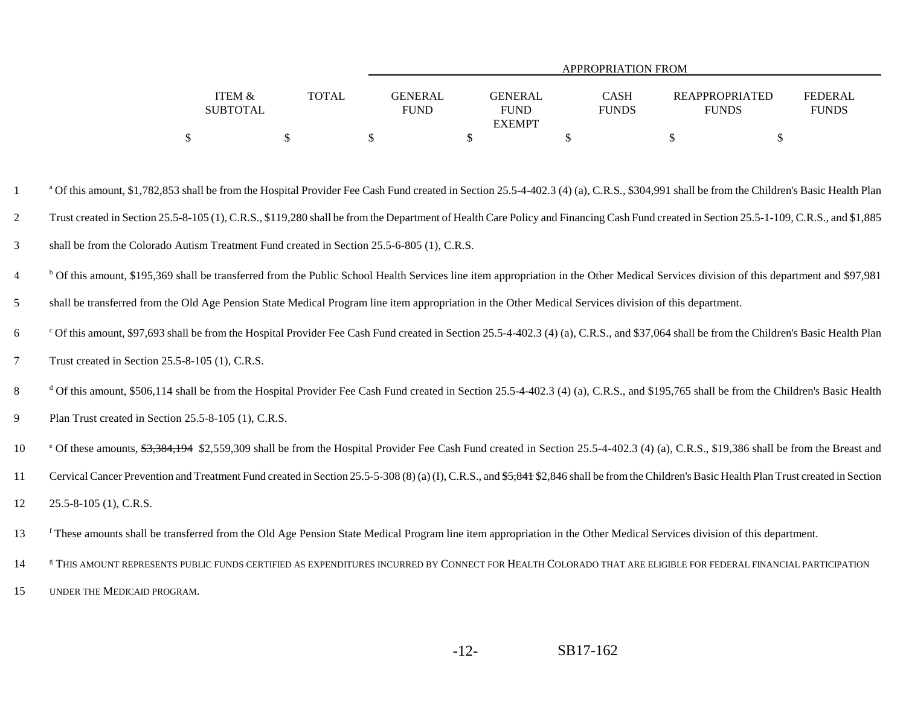|                   |              |             | APPROPRIATION FROM |              |                       |                |  |  |  |  |  |  |  |
|-------------------|--------------|-------------|--------------------|--------------|-----------------------|----------------|--|--|--|--|--|--|--|
|                   |              |             |                    |              |                       |                |  |  |  |  |  |  |  |
| <b>ITEM &amp;</b> | <b>TOTAL</b> | GENERAL     | <b>GENERAL</b>     | CASH         | <b>REAPPROPRIATED</b> | <b>FEDERAL</b> |  |  |  |  |  |  |  |
| <b>SUBTOTAL</b>   |              | <b>FUND</b> | <b>FUND</b>        | <b>FUNDS</b> | <b>FUNDS</b>          | <b>FUNDS</b>   |  |  |  |  |  |  |  |
|                   |              |             | <b>EXEMPT</b>      |              |                       |                |  |  |  |  |  |  |  |
|                   |              |             |                    |              |                       |                |  |  |  |  |  |  |  |

<sup>a</sup> Of this amount, \$1,782,853 shall be from the Hospital Provider Fee Cash Fund created in Section 25.5-4-402.3 (4) (a), C.R.S., \$304,991 shall be from the Children's Basic Health Plan 2 Trust created in Section 25.5-8-105 (1), C.R.S., \$119,280 shall be from the Department of Health Care Policy and Financing Cash Fund created in Section 25.5-1-109, C.R.S., and \$1,885 3shall be from the Colorado Autism Treatment Fund created in Section 25.5-6-805 (1), C.R.S.

<sup>6</sup> Of this amount, \$195,369 shall be transferred from the Public School Health Services line item appropriation in the Other Medical Services division of this department and \$97,981

5shall be transferred from the Old Age Pension State Medical Program line item appropriation in the Other Medical Services division of this department.

 $\sim$   $\cdot$  Of this amount, \$97,693 shall be from the Hospital Provider Fee Cash Fund created in Section 25.5-4-402.3 (4) (a), C.R.S., and \$37,064 shall be from the Children's Basic Health Plan 7Trust created in Section 25.5-8-105 (1), C.R.S.

<sup>d</sup> Of this amount, \$506,114 shall be from the Hospital Provider Fee Cash Fund created in Section 25.5-4-402.3 (4) (a), C.R.S., and \$195,765 shall be from the Children's Basic Health

9Plan Trust created in Section 25.5-8-105 (1), C.R.S.

<sup>e</sup> Of these amounts, <del>\$3,384,194</del> \$2,559,309 shall be from the Hospital Provider Fee Cash Fund created in Section 25.5-4-402.3 (4) (a), C.R.S., \$19,386 shall be from the Breast and

11Cervical Cancer Prevention and Treatment Fund created in Section 25.5-5-308 (8) (a) (I), C.R.S., and \$5,841 \$2,846 shall be from the Children's Basic Health Plan Trust created in Section

1225.5-8-105 (1), C.R.S.

f 13 These amounts shall be transferred from the Old Age Pension State Medical Program line item appropriation in the Other Medical Services division of this department.

14 FIHIS AMOUNT REPRESENTS PUBLIC FUNDS CERTIFIED AS EXPENDITURES INCURRED BY CONNECT FOR HEALTH COLORADO THAT ARE ELIGIBLE FOR FEDERAL FINANCIAL PARTICIPATION 15UNDER THE MEDICAID PROGRAM.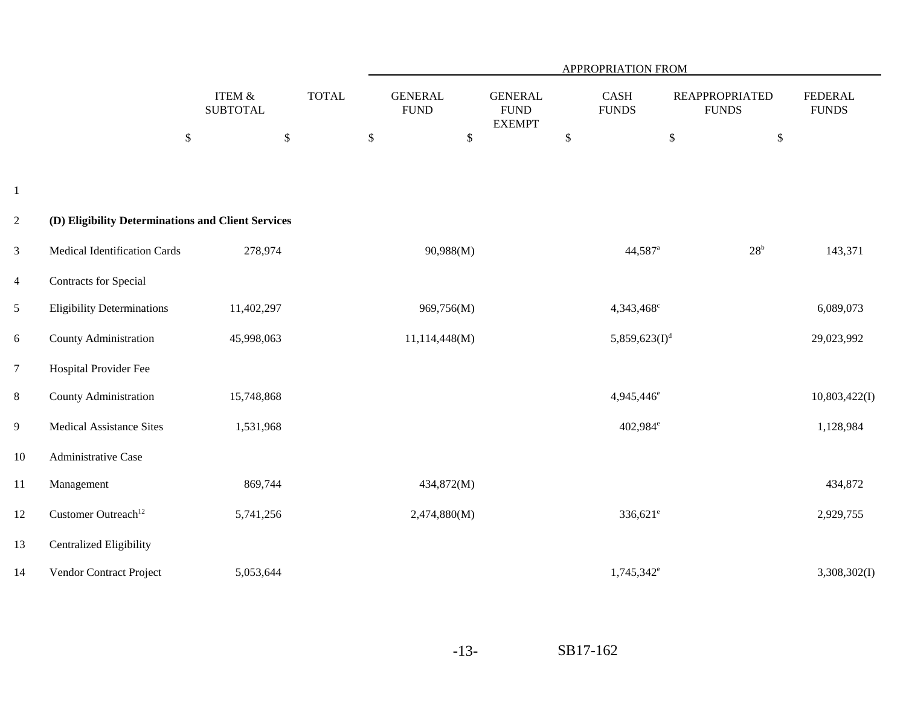|                |                                                    |                                   |              | <b>APPROPRIATION FROM</b>     |                                                |                        |                                       |                                |  |  |
|----------------|----------------------------------------------------|-----------------------------------|--------------|-------------------------------|------------------------------------------------|------------------------|---------------------------------------|--------------------------------|--|--|
|                |                                                    | ITEM $\&$<br><b>SUBTOTAL</b>      | <b>TOTAL</b> | <b>GENERAL</b><br><b>FUND</b> | <b>GENERAL</b><br><b>FUND</b><br><b>EXEMPT</b> | CASH<br><b>FUNDS</b>   | <b>REAPPROPRIATED</b><br><b>FUNDS</b> | <b>FEDERAL</b><br><b>FUNDS</b> |  |  |
|                |                                                    | $\$$<br>$\boldsymbol{\mathsf{S}}$ | \$           | $\mathbb{S}$                  | $\$$                                           |                        | $\$\,$<br>$\mathbb{S}$                |                                |  |  |
|                |                                                    |                                   |              |                               |                                                |                        |                                       |                                |  |  |
| $\mathbf{1}$   |                                                    |                                   |              |                               |                                                |                        |                                       |                                |  |  |
| $\overline{2}$ | (D) Eligibility Determinations and Client Services |                                   |              |                               |                                                |                        |                                       |                                |  |  |
| 3              | Medical Identification Cards                       | 278,974                           |              | 90,988(M)                     |                                                | 44,587 <sup>a</sup>    | 28 <sup>b</sup>                       | 143,371                        |  |  |
| $\overline{4}$ | Contracts for Special                              |                                   |              |                               |                                                |                        |                                       |                                |  |  |
| 5              | <b>Eligibility Determinations</b>                  | 11,402,297                        |              | 969,756(M)                    |                                                | 4,343,468 <sup>c</sup> |                                       | 6,089,073                      |  |  |
| 6              | County Administration                              | 45,998,063                        |              | 11,114,448(M)                 |                                                | 5,859,623 $(I)^d$      |                                       | 29,023,992                     |  |  |
| $\overline{7}$ | Hospital Provider Fee                              |                                   |              |                               |                                                |                        |                                       |                                |  |  |
| $8\,$          | County Administration                              | 15,748,868                        |              |                               |                                                | 4,945,446 <sup>e</sup> |                                       | 10,803,422(I)                  |  |  |
| $\overline{9}$ | <b>Medical Assistance Sites</b>                    | 1,531,968                         |              |                               |                                                | 402,984 <sup>e</sup>   |                                       | 1,128,984                      |  |  |
| 10             | Administrative Case                                |                                   |              |                               |                                                |                        |                                       |                                |  |  |
| 11             | Management                                         | 869,744                           |              | 434,872(M)                    |                                                |                        |                                       | 434,872                        |  |  |
| 12             | Customer Outreach <sup>12</sup>                    | 5,741,256                         |              | 2,474,880(M)                  |                                                | $336,621^e$            |                                       | 2,929,755                      |  |  |
| 13             | <b>Centralized Eligibility</b>                     |                                   |              |                               |                                                |                        |                                       |                                |  |  |
| 14             | Vendor Contract Project                            | 5,053,644                         |              |                               |                                                | 1,745,342 <sup>e</sup> |                                       | 3,308,302(I)                   |  |  |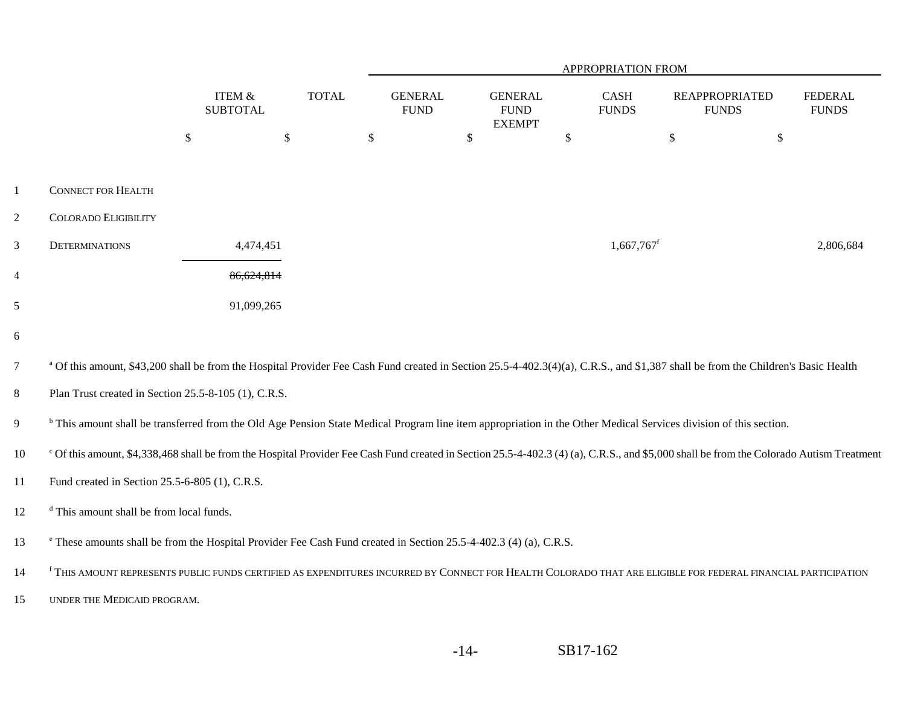|                |                                                                                                                              |                                      |               | APPROPRIATION FROM            |               |                                                |                          |                                                                                                                                                                                              |                                |  |
|----------------|------------------------------------------------------------------------------------------------------------------------------|--------------------------------------|---------------|-------------------------------|---------------|------------------------------------------------|--------------------------|----------------------------------------------------------------------------------------------------------------------------------------------------------------------------------------------|--------------------------------|--|
|                |                                                                                                                              | <b>ITEM &amp;</b><br><b>SUBTOTAL</b> | <b>TOTAL</b>  | <b>GENERAL</b><br><b>FUND</b> |               | <b>GENERAL</b><br><b>FUND</b><br><b>EXEMPT</b> | CASH<br><b>FUNDS</b>     | <b>REAPPROPRIATED</b><br><b>FUNDS</b>                                                                                                                                                        | <b>FEDERAL</b><br><b>FUNDS</b> |  |
|                |                                                                                                                              | $\boldsymbol{\mathsf{S}}$            | $\mathcal{S}$ | $\mathcal{L}$                 | $\mathcal{S}$ |                                                | \$                       | $\$\,$<br>$\$\,$                                                                                                                                                                             |                                |  |
| $\mathbf{1}$   | <b>CONNECT FOR HEALTH</b>                                                                                                    |                                      |               |                               |               |                                                |                          |                                                                                                                                                                                              |                                |  |
| $\overline{2}$ | <b>COLORADO ELIGIBILITY</b>                                                                                                  |                                      |               |                               |               |                                                |                          |                                                                                                                                                                                              |                                |  |
| 3              | <b>DETERMINATIONS</b>                                                                                                        | 4,474,451                            |               |                               |               |                                                | $1,667,767$ <sup>f</sup> |                                                                                                                                                                                              | 2,806,684                      |  |
| $\overline{4}$ |                                                                                                                              | 86,624,814                           |               |                               |               |                                                |                          |                                                                                                                                                                                              |                                |  |
| 5              |                                                                                                                              | 91,099,265                           |               |                               |               |                                                |                          |                                                                                                                                                                                              |                                |  |
| 6              |                                                                                                                              |                                      |               |                               |               |                                                |                          |                                                                                                                                                                                              |                                |  |
| $\overline{7}$ |                                                                                                                              |                                      |               |                               |               |                                                |                          | <sup>a</sup> Of this amount, \$43,200 shall be from the Hospital Provider Fee Cash Fund created in Section 25.5-4-402.3(4)(a), C.R.S., and \$1,387 shall be from the Children's Basic Health |                                |  |
| $8\,$          | Plan Trust created in Section 25.5-8-105 (1), C.R.S.                                                                         |                                      |               |                               |               |                                                |                          |                                                                                                                                                                                              |                                |  |
| 9              |                                                                                                                              |                                      |               |                               |               |                                                |                          | <sup>b</sup> This amount shall be transferred from the Old Age Pension State Medical Program line item appropriation in the Other Medical Services division of this section.                 |                                |  |
| 10             |                                                                                                                              |                                      |               |                               |               |                                                |                          | °C f this amount, \$4,338,468 shall be from the Hospital Provider Fee Cash Fund created in Section 25.5-4-402.3 (4) (a), C.R.S., and \$5,000 shall be from the Colorado Autism Treatment     |                                |  |
| 11             | Fund created in Section 25.5-6-805 (1), C.R.S.                                                                               |                                      |               |                               |               |                                                |                          |                                                                                                                                                                                              |                                |  |
| 12             | <sup>d</sup> This amount shall be from local funds.                                                                          |                                      |               |                               |               |                                                |                          |                                                                                                                                                                                              |                                |  |
| 13             | <sup>e</sup> These amounts shall be from the Hospital Provider Fee Cash Fund created in Section 25.5-4-402.3 (4) (a), C.R.S. |                                      |               |                               |               |                                                |                          |                                                                                                                                                                                              |                                |  |
| 14             |                                                                                                                              |                                      |               |                               |               |                                                |                          | <sup>f</sup> THIS AMOUNT REPRESENTS PUBLIC FUNDS CERTIFIED AS EXPENDITURES INCURRED BY CONNECT FOR HEALTH COLORADO THAT ARE ELIGIBLE FOR FEDERAL FINANCIAL PARTICIPATION                     |                                |  |
| 15             | UNDER THE MEDICAID PROGRAM.                                                                                                  |                                      |               |                               |               |                                                |                          |                                                                                                                                                                                              |                                |  |
|                |                                                                                                                              |                                      |               |                               |               |                                                |                          |                                                                                                                                                                                              |                                |  |

-14-SB17-162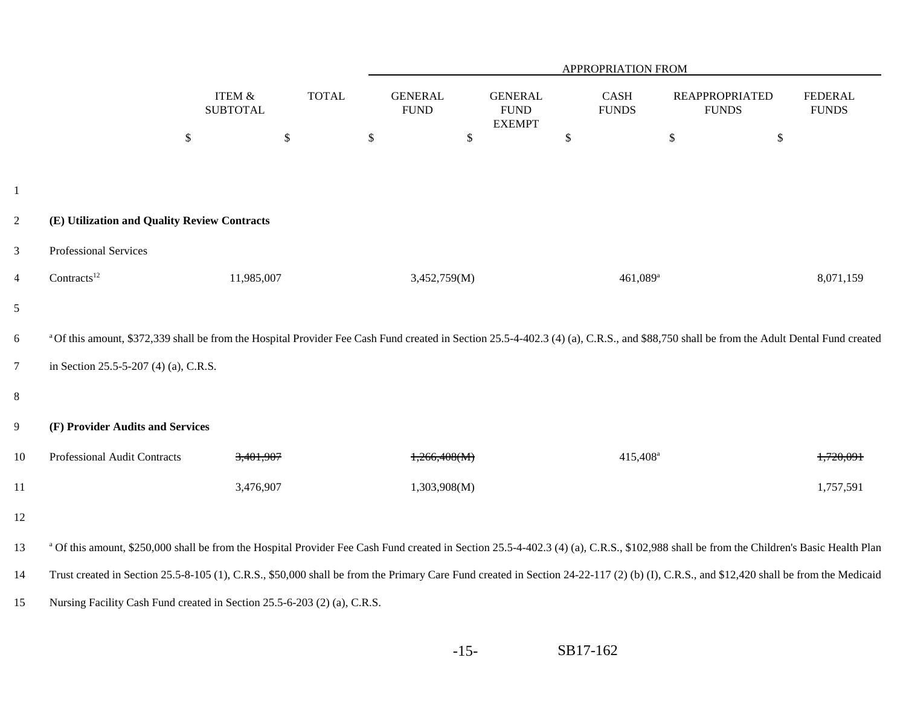|                  |                                                                                                                                                                                         |                                 |              |                               |        |                                                |      | APPROPRIATION FROM   |      |                                       |                                |
|------------------|-----------------------------------------------------------------------------------------------------------------------------------------------------------------------------------------|---------------------------------|--------------|-------------------------------|--------|------------------------------------------------|------|----------------------|------|---------------------------------------|--------------------------------|
|                  |                                                                                                                                                                                         | ITEM &<br><b>SUBTOTAL</b>       | <b>TOTAL</b> | <b>GENERAL</b><br><b>FUND</b> |        | <b>GENERAL</b><br><b>FUND</b><br><b>EXEMPT</b> |      | CASH<br><b>FUNDS</b> |      | <b>REAPPROPRIATED</b><br><b>FUNDS</b> | <b>FEDERAL</b><br><b>FUNDS</b> |
|                  |                                                                                                                                                                                         | \$<br>$\boldsymbol{\mathsf{S}}$ |              | $\boldsymbol{\$}$             | $\$\,$ |                                                | $\$$ |                      | $\$$ | $\$\,$                                |                                |
|                  |                                                                                                                                                                                         |                                 |              |                               |        |                                                |      |                      |      |                                       |                                |
| $\mathbf{1}$     |                                                                                                                                                                                         |                                 |              |                               |        |                                                |      |                      |      |                                       |                                |
| $\overline{2}$   | (E) Utilization and Quality Review Contracts                                                                                                                                            |                                 |              |                               |        |                                                |      |                      |      |                                       |                                |
| 3                | Professional Services                                                                                                                                                                   |                                 |              |                               |        |                                                |      |                      |      |                                       |                                |
| $\overline{4}$   | Contracts <sup>12</sup>                                                                                                                                                                 | 11,985,007                      |              | 3,452,759(M)                  |        |                                                |      | 461,089 <sup>a</sup> |      |                                       | 8,071,159                      |
| 5                |                                                                                                                                                                                         |                                 |              |                               |        |                                                |      |                      |      |                                       |                                |
| 6                | a Of this amount, \$372,339 shall be from the Hospital Provider Fee Cash Fund created in Section 25.5-4-402.3 (4) (a), C.R.S., and \$88,750 shall be from the Adult Dental Fund created |                                 |              |                               |        |                                                |      |                      |      |                                       |                                |
| $\overline{7}$   | in Section 25.5-5-207 (4) (a), C.R.S.                                                                                                                                                   |                                 |              |                               |        |                                                |      |                      |      |                                       |                                |
| $8\,$            |                                                                                                                                                                                         |                                 |              |                               |        |                                                |      |                      |      |                                       |                                |
| $\boldsymbol{9}$ | (F) Provider Audits and Services                                                                                                                                                        |                                 |              |                               |        |                                                |      |                      |      |                                       |                                |
| $10\,$           | Professional Audit Contracts                                                                                                                                                            | 3,401,907                       |              | 1,266,408(M)                  |        |                                                |      | 415,408 <sup>a</sup> |      |                                       | 1,720,091                      |
| 11               |                                                                                                                                                                                         | 3,476,907                       |              | 1,303,908(M)                  |        |                                                |      |                      |      |                                       | 1,757,591                      |
| 12               |                                                                                                                                                                                         |                                 |              |                               |        |                                                |      |                      |      |                                       |                                |
| 13               | a Of this amount, \$250,000 shall be from the Hospital Provider Fee Cash Fund created in Section 25.5-4-402.3 (4) (a), C.R.S., \$102,988 shall be from the Children's Basic Health Plan |                                 |              |                               |        |                                                |      |                      |      |                                       |                                |
| 14               | Trust created in Section 25.5-8-105 (1), C.R.S., \$50,000 shall be from the Primary Care Fund created in Section 24-22-117 (2) (b) (I), C.R.S., and \$12,420 shall be from the Medicaid |                                 |              |                               |        |                                                |      |                      |      |                                       |                                |
| 15               | Nursing Facility Cash Fund created in Section 25.5-6-203 (2) (a), C.R.S.                                                                                                                |                                 |              |                               |        |                                                |      |                      |      |                                       |                                |

-15-SB17-162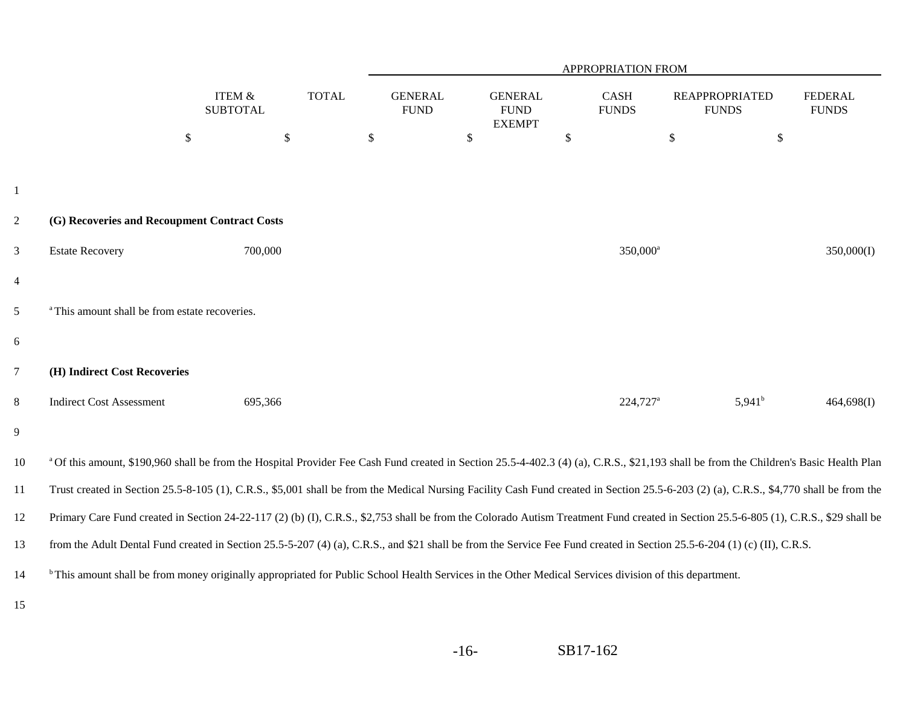|                |                                                                                                                                                                                        |                                      |              |                               |              |                                                |                   | APPROPRIATION FROM          |                                       |                 |                                |
|----------------|----------------------------------------------------------------------------------------------------------------------------------------------------------------------------------------|--------------------------------------|--------------|-------------------------------|--------------|------------------------------------------------|-------------------|-----------------------------|---------------------------------------|-----------------|--------------------------------|
|                |                                                                                                                                                                                        | <b>ITEM &amp;</b><br><b>SUBTOTAL</b> | <b>TOTAL</b> | <b>GENERAL</b><br><b>FUND</b> |              | <b>GENERAL</b><br><b>FUND</b><br><b>EXEMPT</b> |                   | <b>CASH</b><br><b>FUNDS</b> | <b>REAPPROPRIATED</b><br><b>FUNDS</b> |                 | <b>FEDERAL</b><br><b>FUNDS</b> |
|                |                                                                                                                                                                                        | $\$\,$                               | $\mathbb{S}$ | $\mathbb{S}$                  | $\mathbb{S}$ |                                                | $\boldsymbol{\$}$ |                             | $\mathbb{S}$                          | $\mathbb{S}$    |                                |
|                |                                                                                                                                                                                        |                                      |              |                               |              |                                                |                   |                             |                                       |                 |                                |
| $\mathbf{1}$   |                                                                                                                                                                                        |                                      |              |                               |              |                                                |                   |                             |                                       |                 |                                |
| $\overline{2}$ | (G) Recoveries and Recoupment Contract Costs                                                                                                                                           |                                      |              |                               |              |                                                |                   |                             |                                       |                 |                                |
| $\mathfrak{Z}$ | <b>Estate Recovery</b>                                                                                                                                                                 | 700,000                              |              |                               |              |                                                |                   | 350,000 <sup>a</sup>        |                                       |                 | 350,000(I)                     |
| $\overline{4}$ |                                                                                                                                                                                        |                                      |              |                               |              |                                                |                   |                             |                                       |                 |                                |
| 5              | <sup>a</sup> This amount shall be from estate recoveries.                                                                                                                              |                                      |              |                               |              |                                                |                   |                             |                                       |                 |                                |
| 6              |                                                                                                                                                                                        |                                      |              |                               |              |                                                |                   |                             |                                       |                 |                                |
| $\overline{7}$ | (H) Indirect Cost Recoveries                                                                                                                                                           |                                      |              |                               |              |                                                |                   |                             |                                       |                 |                                |
| 8              | <b>Indirect Cost Assessment</b>                                                                                                                                                        | 695,366                              |              |                               |              |                                                |                   | $224,727$ <sup>a</sup>      |                                       | $5,941^{\rm b}$ | 464,698(I)                     |
| 9              |                                                                                                                                                                                        |                                      |              |                               |              |                                                |                   |                             |                                       |                 |                                |
| 10             | a Of this amount, \$190,960 shall be from the Hospital Provider Fee Cash Fund created in Section 25.5-4-402.3 (4) (a), C.R.S., \$21,193 shall be from the Children's Basic Health Plan |                                      |              |                               |              |                                                |                   |                             |                                       |                 |                                |
| 11             | Trust created in Section 25.5-8-105 (1), C.R.S., \$5,001 shall be from the Medical Nursing Facility Cash Fund created in Section 25.5-6-203 (2) (a), C.R.S., \$4,770 shall be from the |                                      |              |                               |              |                                                |                   |                             |                                       |                 |                                |
| 12             | Primary Care Fund created in Section 24-22-117 (2) (b) (I), C.R.S., \$2,753 shall be from the Colorado Autism Treatment Fund created in Section 25.5-6-805 (1), C.R.S., \$29 shall be  |                                      |              |                               |              |                                                |                   |                             |                                       |                 |                                |
| 13             | from the Adult Dental Fund created in Section 25.5-5-207 (4) (a), C.R.S., and \$21 shall be from the Service Fee Fund created in Section 25.5-6-204 (1) (c) (II), C.R.S.               |                                      |              |                               |              |                                                |                   |                             |                                       |                 |                                |
| 14             | <sup>b</sup> This amount shall be from money originally appropriated for Public School Health Services in the Other Medical Services division of this department.                      |                                      |              |                               |              |                                                |                   |                             |                                       |                 |                                |
| 15             |                                                                                                                                                                                        |                                      |              |                               |              |                                                |                   |                             |                                       |                 |                                |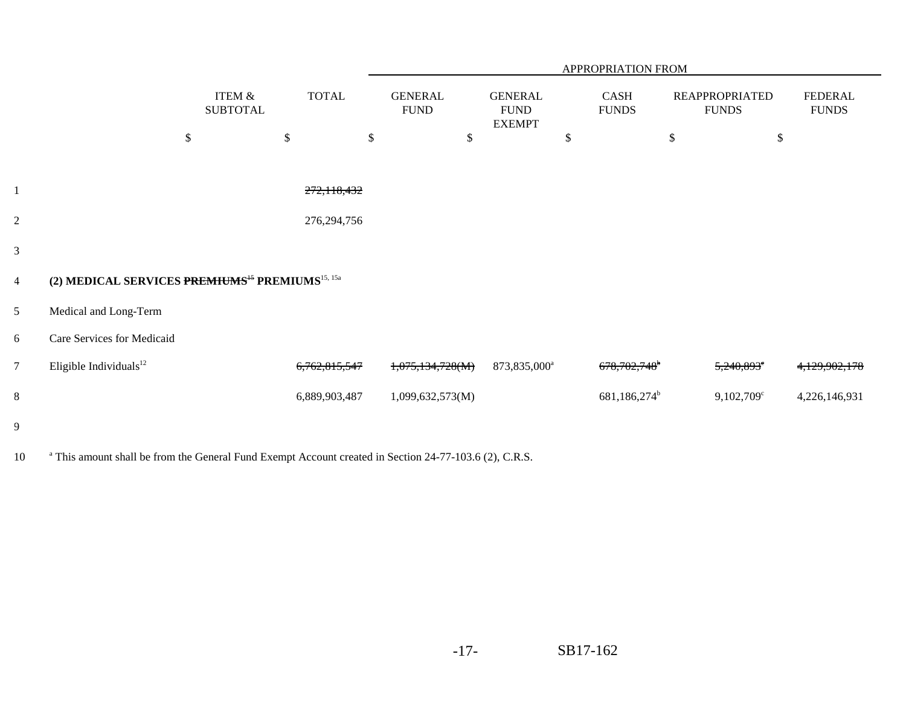|                |                                                                         |                                      |               |                               |                                                |    | APPROPRIATION FROM       |                                       |                                |
|----------------|-------------------------------------------------------------------------|--------------------------------------|---------------|-------------------------------|------------------------------------------------|----|--------------------------|---------------------------------------|--------------------------------|
|                |                                                                         | <b>ITEM &amp;</b><br><b>SUBTOTAL</b> | <b>TOTAL</b>  | <b>GENERAL</b><br><b>FUND</b> | <b>GENERAL</b><br><b>FUND</b><br><b>EXEMPT</b> |    | CASH<br><b>FUNDS</b>     | <b>REAPPROPRIATED</b><br><b>FUNDS</b> | <b>FEDERAL</b><br><b>FUNDS</b> |
|                |                                                                         | \$                                   | \$            | \$<br>\$                      |                                                | \$ |                          | \$<br>\$                              |                                |
|                |                                                                         |                                      |               |                               |                                                |    |                          |                                       |                                |
|                |                                                                         |                                      | 272,118,432   |                               |                                                |    |                          |                                       |                                |
| $\overline{c}$ |                                                                         |                                      | 276, 294, 756 |                               |                                                |    |                          |                                       |                                |
| 3              |                                                                         |                                      |               |                               |                                                |    |                          |                                       |                                |
| $\overline{4}$ | (2) MEDICAL SERVICES PREMIUMS <sup>45</sup> PREMIUMS <sup>15, 15a</sup> |                                      |               |                               |                                                |    |                          |                                       |                                |
| 5              | Medical and Long-Term                                                   |                                      |               |                               |                                                |    |                          |                                       |                                |
| 6              | Care Services for Medicaid                                              |                                      |               |                               |                                                |    |                          |                                       |                                |
| $\overline{7}$ | Eligible Individuals <sup>12</sup>                                      |                                      | 6,762,815,547 | 1,075,134,728(M)              | 873,835,000 <sup>a</sup>                       |    | 678,702,748 <sup>b</sup> | $5,240,893$ <sup>c</sup>              | 4,129,902,178                  |
| $8\,$          |                                                                         |                                      | 6,889,903,487 | 1,099,632,573(M)              |                                                |    | 681,186,274 <sup>b</sup> | $9,102,709$ <sup>c</sup>              | 4,226,146,931                  |
| 9              |                                                                         |                                      |               |                               |                                                |    |                          |                                       |                                |

10 <sup>a</sup> This amount shall be from the General Fund Exempt Account created in Section 24-77-103.6 (2), C.R.S.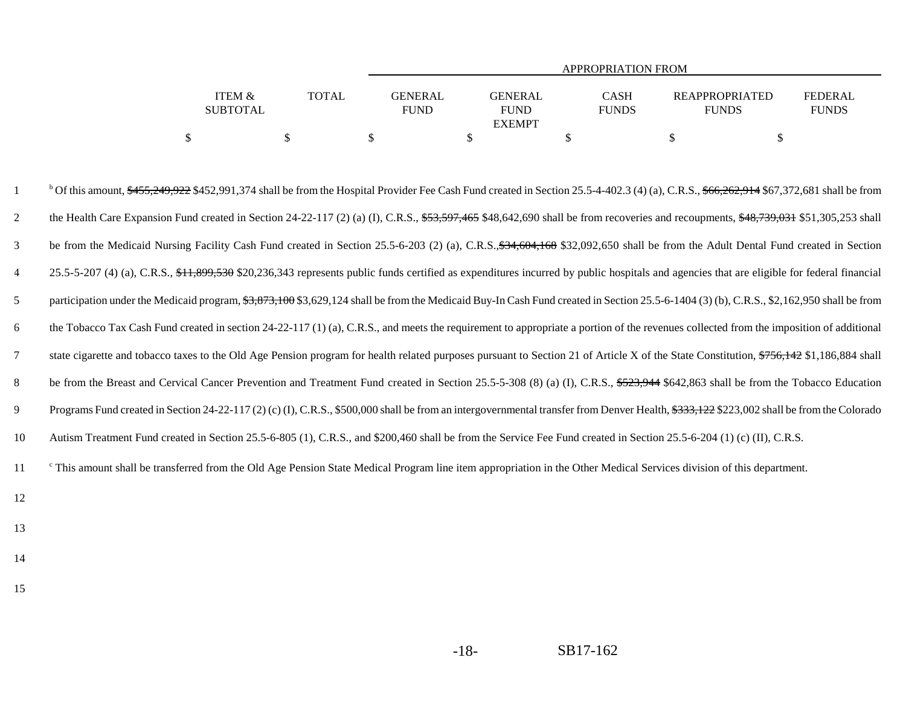|                           |              | APPROPRIATION FROM     |                                                |                             |                                       |                                |  |  |  |  |  |  |
|---------------------------|--------------|------------------------|------------------------------------------------|-----------------------------|---------------------------------------|--------------------------------|--|--|--|--|--|--|
| ITEM &<br><b>SUBTOTAL</b> | <b>TOTAL</b> | GENERAL<br><b>FUND</b> | <b>GENERAL</b><br><b>FUND</b><br><b>EXEMPT</b> | <b>CASH</b><br><b>FUNDS</b> | <b>REAPPROPRIATED</b><br><b>FUNDS</b> | <b>FEDERAL</b><br><b>FUNDS</b> |  |  |  |  |  |  |
|                           |              |                        |                                                |                             |                                       |                                |  |  |  |  |  |  |

<sup>b</sup> Of this amount,  $$455,249,922$  \$452,991,374 shall be from the Hospital Provider Fee Cash Fund created in Section 25.5-4-402.3 (4) (a), C.R.S.,  $$66,262,914$  \$67,372,681 shall be from 2the Health Care Expansion Fund created in Section 24-22-117 (2) (a) (I), C.R.S.,  $\frac{153,597,465}{10,600}$  shall be from recoveries and recoupments,  $\frac{100,600}{10,600}$  and  $\frac{100,600}{10,600}$ 3be from the Medicaid Nursing Facility Cash Fund created in Section 25.5-6-203 (2) (a), C.R.S., \$34, 604, 168 \$32,092, 650 shall be from the Adult Dental Fund created in Section 425.5-5-207 (4) (a), C.R.S., \$11,899,530 \$20,236,343 represents public funds certified as expenditures incurred by public hospitals and agencies that are eligible for federal financial 5participation under the Medicaid program, \$3,873,100 \$3,629,124 shall be from the Medicaid Buy-In Cash Fund created in Section 25.5-6-1404 (3) (b), C.R.S., \$2,162,950 shall be from 6 the Tobacco Tax Cash Fund created in section 24-22-117 (1) (a), C.R.S., and meets the requirement to appropriate a portion of the revenues collected from the imposition of additional 7state cigarette and tobacco taxes to the Old Age Pension program for health related purposes pursuant to Section 21 of Article X of the State Constitution, \$756,142 \$1,186,884 shall 8be from the Breast and Cervical Cancer Prevention and Treatment Fund created in Section 25.5-5-308 (8) (a) (I), C.R.S., \$523,944 \$642,863 shall be from the Tobacco Education 9Programs Fund created in Section 24-22-117 (2) (c) (I), C.R.S., \$500,000 shall be from an intergovernmental transfer from Denver Health, \$333, 122 \$223,002 shall be from the Colorado 10Autism Treatment Fund created in Section 25.5-6-805 (1), C.R.S., and \$200,460 shall be from the Service Fee Fund created in Section 25.5-6-204 (1) (c) (II), C.R.S. <sup>c</sup> This amount shall be transferred from the Old Age Pension State Medical Program line item appropriation in the Other Medical Services division of this department.

- 12
- 13
- 14
- 15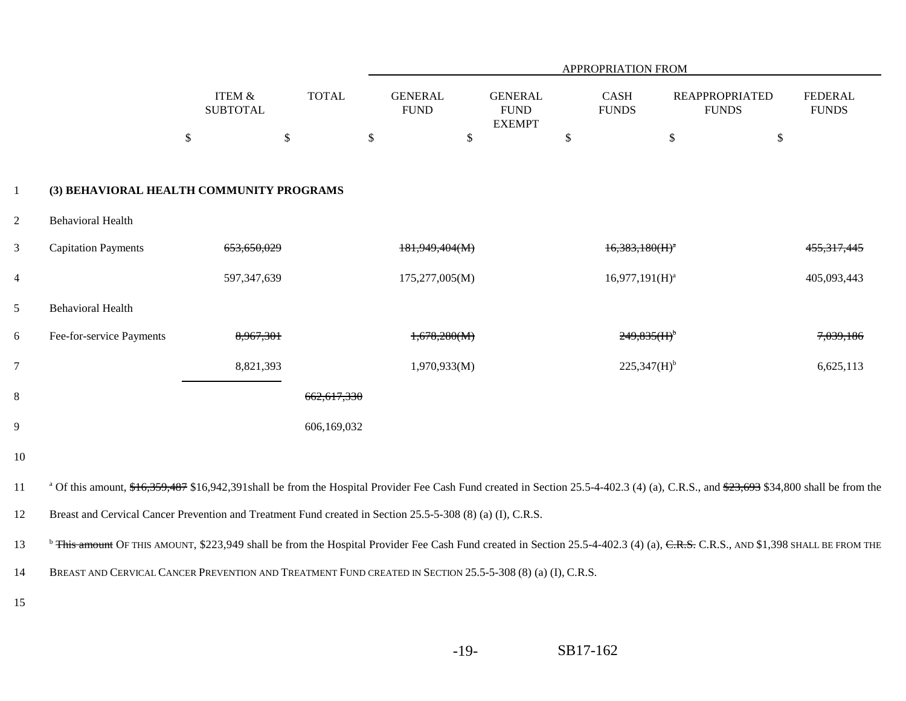|                |                                                                                                                                                                                                    |                                                        |              |                               |        |                                                |      | <b>APPROPRIATION FROM</b>   |                                       |                                |
|----------------|----------------------------------------------------------------------------------------------------------------------------------------------------------------------------------------------------|--------------------------------------------------------|--------------|-------------------------------|--------|------------------------------------------------|------|-----------------------------|---------------------------------------|--------------------------------|
|                |                                                                                                                                                                                                    | ITEM $\&$<br><b>SUBTOTAL</b>                           | <b>TOTAL</b> | <b>GENERAL</b><br><b>FUND</b> |        | <b>GENERAL</b><br><b>FUND</b><br><b>EXEMPT</b> |      | <b>CASH</b><br><b>FUNDS</b> | <b>REAPPROPRIATED</b><br><b>FUNDS</b> | <b>FEDERAL</b><br><b>FUNDS</b> |
|                |                                                                                                                                                                                                    | $\boldsymbol{\mathsf{S}}$<br>$\boldsymbol{\mathsf{S}}$ |              | $\$\,$                        | $\$\,$ |                                                | $\$$ |                             | $\$\,$                                | \$                             |
| $\mathbf{1}$   | (3) BEHAVIORAL HEALTH COMMUNITY PROGRAMS                                                                                                                                                           |                                                        |              |                               |        |                                                |      |                             |                                       |                                |
| $\overline{2}$ | <b>Behavioral Health</b>                                                                                                                                                                           |                                                        |              |                               |        |                                                |      |                             |                                       |                                |
| $\mathfrak{Z}$ | <b>Capitation Payments</b>                                                                                                                                                                         | 653,650,029                                            |              | <del>181.949.404(M)</del>     |        |                                                |      | $16,383,180(H)^a$           |                                       |                                |
| $\overline{4}$ |                                                                                                                                                                                                    | 597, 347, 639                                          |              | 175,277,005(M)                |        |                                                |      | $16,977,191(H)^a$           |                                       | 405,093,443                    |
| $\mathfrak{S}$ | <b>Behavioral Health</b>                                                                                                                                                                           |                                                        |              |                               |        |                                                |      |                             |                                       |                                |
| 6              | Fee-for-service Payments                                                                                                                                                                           | 8,967,301                                              |              | 1,678,280(M)                  |        |                                                |      | $249,835(H)$ <sup>b</sup>   |                                       | 7,039,186                      |
| $\overline{7}$ |                                                                                                                                                                                                    | 8,821,393                                              |              | 1,970,933(M)                  |        |                                                |      | 225,347(H) <sup>b</sup>     |                                       | 6,625,113                      |
| $8\,$          |                                                                                                                                                                                                    |                                                        | 662,617,330  |                               |        |                                                |      |                             |                                       |                                |
| 9              |                                                                                                                                                                                                    |                                                        | 606,169,032  |                               |        |                                                |      |                             |                                       |                                |
| $10\,$         |                                                                                                                                                                                                    |                                                        |              |                               |        |                                                |      |                             |                                       |                                |
| 11             | <sup>a</sup> Of this amount, $$+6,359,487$ \$16,942,391shall be from the Hospital Provider Fee Cash Fund created in Section 25.5-4-402.3 (4) (a), C.R.S., and $$23,693$ \$34,800 shall be from the |                                                        |              |                               |        |                                                |      |                             |                                       |                                |
| 12             | Breast and Cervical Cancer Prevention and Treatment Fund created in Section 25.5-5-308 (8) (a) (I), C.R.S.                                                                                         |                                                        |              |                               |        |                                                |      |                             |                                       |                                |
| 13             | <sup>b</sup> This amount OF THIS AMOUNT, \$223,949 shall be from the Hospital Provider Fee Cash Fund created in Section 25.5-4-402.3 (4) (a), C.R.S., AND \$1,398 SHALL BE FROM THE                |                                                        |              |                               |        |                                                |      |                             |                                       |                                |
| 14             | BREAST AND CERVICAL CANCER PREVENTION AND TREATMENT FUND CREATED IN SECTION 25.5-5-308 (8) (a) (I), C.R.S.                                                                                         |                                                        |              |                               |        |                                                |      |                             |                                       |                                |
| 15             |                                                                                                                                                                                                    |                                                        |              |                               |        |                                                |      |                             |                                       |                                |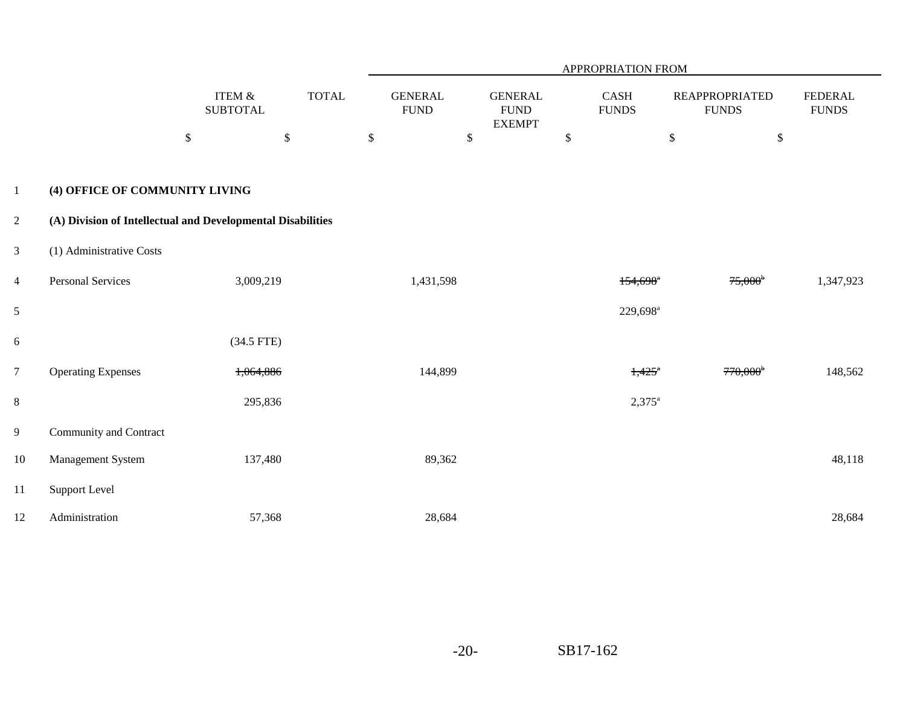|                |                                                             |                                            |              |               |                               |                                                |                           | APPROPRIATION FROM          |                                       |        |                                |
|----------------|-------------------------------------------------------------|--------------------------------------------|--------------|---------------|-------------------------------|------------------------------------------------|---------------------------|-----------------------------|---------------------------------------|--------|--------------------------------|
|                |                                                             | <b>ITEM &amp;</b><br><b>SUBTOTAL</b>       | <b>TOTAL</b> |               | <b>GENERAL</b><br><b>FUND</b> | <b>GENERAL</b><br><b>FUND</b><br><b>EXEMPT</b> |                           | <b>CASH</b><br><b>FUNDS</b> | <b>REAPPROPRIATED</b><br><b>FUNDS</b> |        | <b>FEDERAL</b><br><b>FUNDS</b> |
|                |                                                             | $\boldsymbol{\mathsf{S}}$<br>$\mathcal{S}$ |              | $\mathcal{S}$ |                               | \$                                             | $\boldsymbol{\mathsf{S}}$ |                             | $\mathcal{S}$                         | $\$\,$ |                                |
| $\mathbf{1}$   | (4) OFFICE OF COMMUNITY LIVING                              |                                            |              |               |                               |                                                |                           |                             |                                       |        |                                |
| $\overline{2}$ | (A) Division of Intellectual and Developmental Disabilities |                                            |              |               |                               |                                                |                           |                             |                                       |        |                                |
| $\mathbf{3}$   | (1) Administrative Costs                                    |                                            |              |               |                               |                                                |                           |                             |                                       |        |                                |
| $\overline{4}$ | <b>Personal Services</b>                                    | 3,009,219                                  |              |               | 1,431,598                     |                                                |                           | $154,698$ <sup>*</sup>      | $75,000^{\circ}$                      |        | 1,347,923                      |
| 5              |                                                             |                                            |              |               |                               |                                                |                           | 229,698 <sup>a</sup>        |                                       |        |                                |
| 6              |                                                             | $(34.5$ FTE)                               |              |               |                               |                                                |                           |                             |                                       |        |                                |
| $\overline{7}$ | <b>Operating Expenses</b>                                   | 1,064,886                                  |              |               | 144,899                       |                                                |                           | $1,425$ <sup>*</sup>        | $770,000^{\circ}$                     |        | 148,562                        |
| $8\,$          |                                                             | 295,836                                    |              |               |                               |                                                |                           | $2,375^{\rm a}$             |                                       |        |                                |
| $\overline{9}$ | Community and Contract                                      |                                            |              |               |                               |                                                |                           |                             |                                       |        |                                |
| 10             | Management System                                           | 137,480                                    |              |               | 89,362                        |                                                |                           |                             |                                       |        | 48,118                         |
| 11             | <b>Support Level</b>                                        |                                            |              |               |                               |                                                |                           |                             |                                       |        |                                |
| 12             | Administration                                              | 57,368                                     |              |               | 28,684                        |                                                |                           |                             |                                       |        | 28,684                         |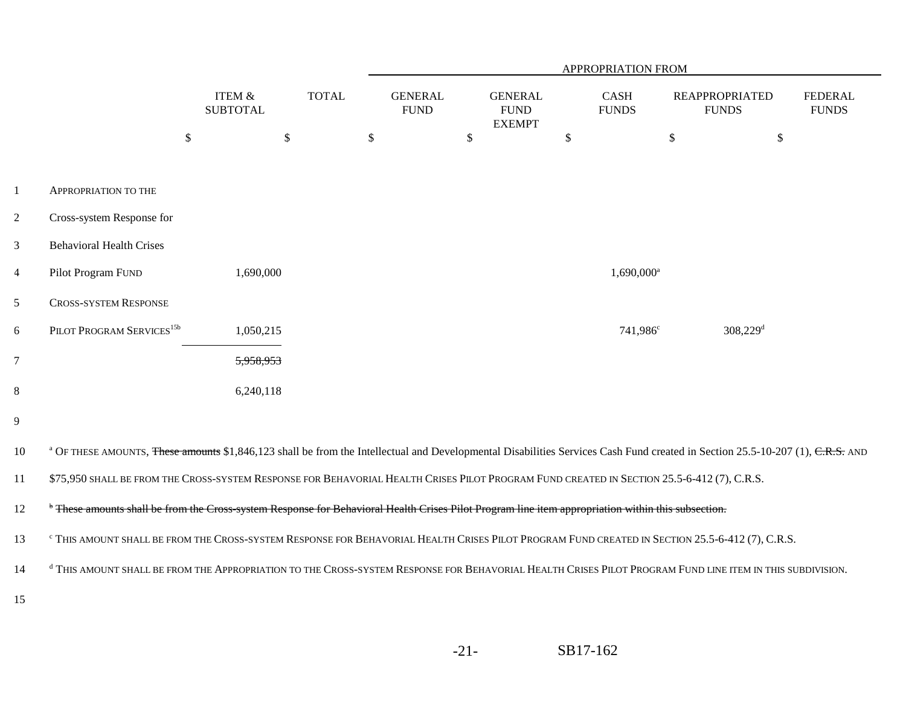|                |                                                                                                                                                                                          |                                      |              |                               |        |                                                |              | APPROPRIATION FROM     |                                       |                                |
|----------------|------------------------------------------------------------------------------------------------------------------------------------------------------------------------------------------|--------------------------------------|--------------|-------------------------------|--------|------------------------------------------------|--------------|------------------------|---------------------------------------|--------------------------------|
|                |                                                                                                                                                                                          | <b>ITEM &amp;</b><br><b>SUBTOTAL</b> | <b>TOTAL</b> | <b>GENERAL</b><br><b>FUND</b> |        | <b>GENERAL</b><br><b>FUND</b><br><b>EXEMPT</b> |              | CASH<br><b>FUNDS</b>   | <b>REAPPROPRIATED</b><br><b>FUNDS</b> | <b>FEDERAL</b><br><b>FUNDS</b> |
|                |                                                                                                                                                                                          | $\mathbb{S}$<br>$\$\,$               |              | \$                            | $\$\,$ |                                                | $\mathbb{S}$ |                        | $\$$                                  | $\$$                           |
|                |                                                                                                                                                                                          |                                      |              |                               |        |                                                |              |                        |                                       |                                |
| $\mathbf{1}$   | <b>APPROPRIATION TO THE</b>                                                                                                                                                              |                                      |              |                               |        |                                                |              |                        |                                       |                                |
| $\overline{2}$ | Cross-system Response for                                                                                                                                                                |                                      |              |                               |        |                                                |              |                        |                                       |                                |
| $\mathfrak{Z}$ | <b>Behavioral Health Crises</b>                                                                                                                                                          |                                      |              |                               |        |                                                |              |                        |                                       |                                |
| $\overline{4}$ | Pilot Program FUND                                                                                                                                                                       | 1,690,000                            |              |                               |        |                                                |              | 1,690,000 <sup>a</sup> |                                       |                                |
| 5              | <b>CROSS-SYSTEM RESPONSE</b>                                                                                                                                                             |                                      |              |                               |        |                                                |              |                        |                                       |                                |
| 6              | PILOT PROGRAM SERVICES <sup>15b</sup>                                                                                                                                                    | 1,050,215                            |              |                               |        |                                                |              | 741,986 <sup>c</sup>   | $308,229$ <sup>d</sup>                |                                |
| $\overline{7}$ |                                                                                                                                                                                          | 5,958,953                            |              |                               |        |                                                |              |                        |                                       |                                |
| $8\,$          |                                                                                                                                                                                          | 6,240,118                            |              |                               |        |                                                |              |                        |                                       |                                |
| $\overline{9}$ |                                                                                                                                                                                          |                                      |              |                               |        |                                                |              |                        |                                       |                                |
| 10             | <sup>a</sup> OF THESE AMOUNTS, These amounts \$1,846,123 shall be from the Intellectual and Developmental Disabilities Services Cash Fund created in Section 25.5-10-207 (1), C.R.S. AND |                                      |              |                               |        |                                                |              |                        |                                       |                                |
| 11             | \$75,950 SHALL BE FROM THE CROSS-SYSTEM RESPONSE FOR BEHAVORIAL HEALTH CRISES PILOT PROGRAM FUND CREATED IN SECTION 25.5-6-412 (7), C.R.S.                                               |                                      |              |                               |        |                                                |              |                        |                                       |                                |
| 12             | * These amounts shall be from the Cross-system Response for Behavioral Health Crises Pilot Program line item appropriation within this subsection.                                       |                                      |              |                               |        |                                                |              |                        |                                       |                                |
| 13             | <sup>c</sup> THIS AMOUNT SHALL BE FROM THE CROSS-SYSTEM RESPONSE FOR BEHAVORIAL HEALTH CRISES PILOT PROGRAM FUND CREATED IN SECTION 25.5-6-412 (7), C.R.S.                               |                                      |              |                               |        |                                                |              |                        |                                       |                                |
| 14             | <sup>d</sup> THIS AMOUNT SHALL BE FROM THE APPROPRIATION TO THE CROSS-SYSTEM RESPONSE FOR BEHAVORIAL HEALTH CRISES PILOT PROGRAM FUND LINE ITEM IN THIS SUBDIVISION.                     |                                      |              |                               |        |                                                |              |                        |                                       |                                |
| 15             |                                                                                                                                                                                          |                                      |              |                               |        |                                                |              |                        |                                       |                                |
|                |                                                                                                                                                                                          |                                      |              |                               |        |                                                |              |                        |                                       |                                |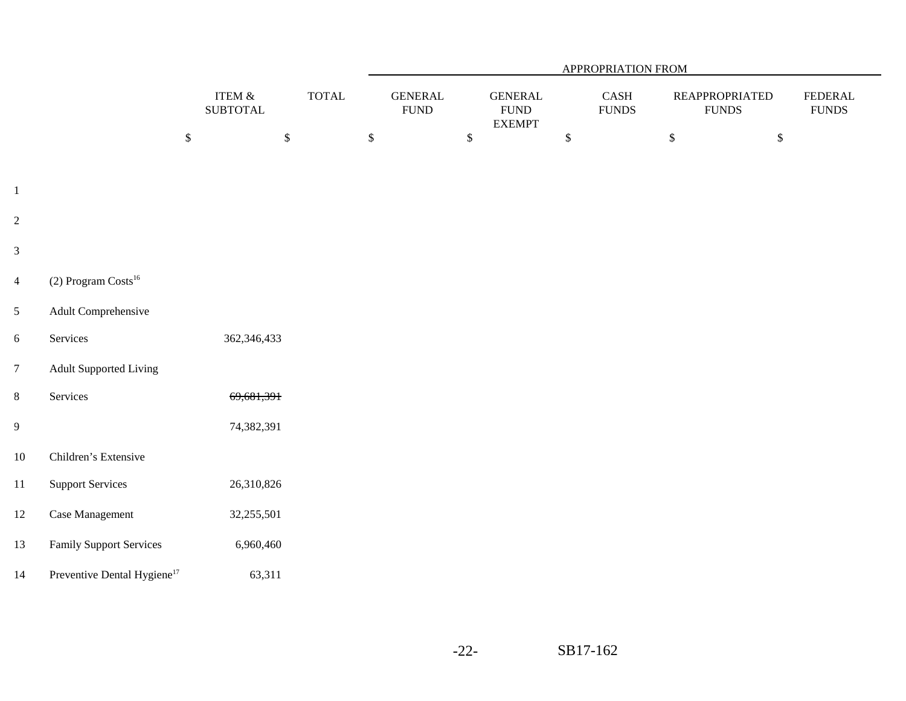|                  |                                         |                              |                               |                                |              |                                                |              | <b>APPROPRIATION FROM</b>     |              |                                       |                                    |
|------------------|-----------------------------------------|------------------------------|-------------------------------|--------------------------------|--------------|------------------------------------------------|--------------|-------------------------------|--------------|---------------------------------------|------------------------------------|
|                  |                                         | ITEM $\&$<br><b>SUBTOTAL</b> | $\ensuremath{\mathsf{TOTAL}}$ | <b>GENERAL</b><br>${\rm FUND}$ |              | <b>GENERAL</b><br><b>FUND</b><br><b>EXEMPT</b> |              | $\mbox{CASH}$<br><b>FUNDS</b> |              | <b>REAPPROPRIATED</b><br><b>FUNDS</b> | <b>FEDERAL</b><br>${\hbox{FUNDS}}$ |
|                  |                                         | $\mathbb{S}$                 | $\mathbb{S}$                  | $\mathbb{S}$                   | $\mathbb{S}$ |                                                | $\mathbb{S}$ |                               | $\mathbb{S}$ | $\mathbb{S}$                          |                                    |
| $\mathbf{1}$     |                                         |                              |                               |                                |              |                                                |              |                               |              |                                       |                                    |
| $\overline{c}$   |                                         |                              |                               |                                |              |                                                |              |                               |              |                                       |                                    |
| $\mathfrak{Z}$   |                                         |                              |                               |                                |              |                                                |              |                               |              |                                       |                                    |
| $\overline{4}$   | $(2)$ Program Costs <sup>16</sup>       |                              |                               |                                |              |                                                |              |                               |              |                                       |                                    |
| $\mathfrak{S}$   | Adult Comprehensive                     |                              |                               |                                |              |                                                |              |                               |              |                                       |                                    |
| $\boldsymbol{6}$ | Services                                | 362,346,433                  |                               |                                |              |                                                |              |                               |              |                                       |                                    |
| $\boldsymbol{7}$ | <b>Adult Supported Living</b>           |                              |                               |                                |              |                                                |              |                               |              |                                       |                                    |
| $\,8\,$          | Services                                | 69,681,391                   |                               |                                |              |                                                |              |                               |              |                                       |                                    |
| $\boldsymbol{9}$ |                                         | 74,382,391                   |                               |                                |              |                                                |              |                               |              |                                       |                                    |
| $10\,$           | Children's Extensive                    |                              |                               |                                |              |                                                |              |                               |              |                                       |                                    |
| 11               | <b>Support Services</b>                 | 26,310,826                   |                               |                                |              |                                                |              |                               |              |                                       |                                    |
| 12               | Case Management                         | 32,255,501                   |                               |                                |              |                                                |              |                               |              |                                       |                                    |
| 13               | <b>Family Support Services</b>          | 6,960,460                    |                               |                                |              |                                                |              |                               |              |                                       |                                    |
| 14               | Preventive Dental Hygiene <sup>17</sup> | 63,311                       |                               |                                |              |                                                |              |                               |              |                                       |                                    |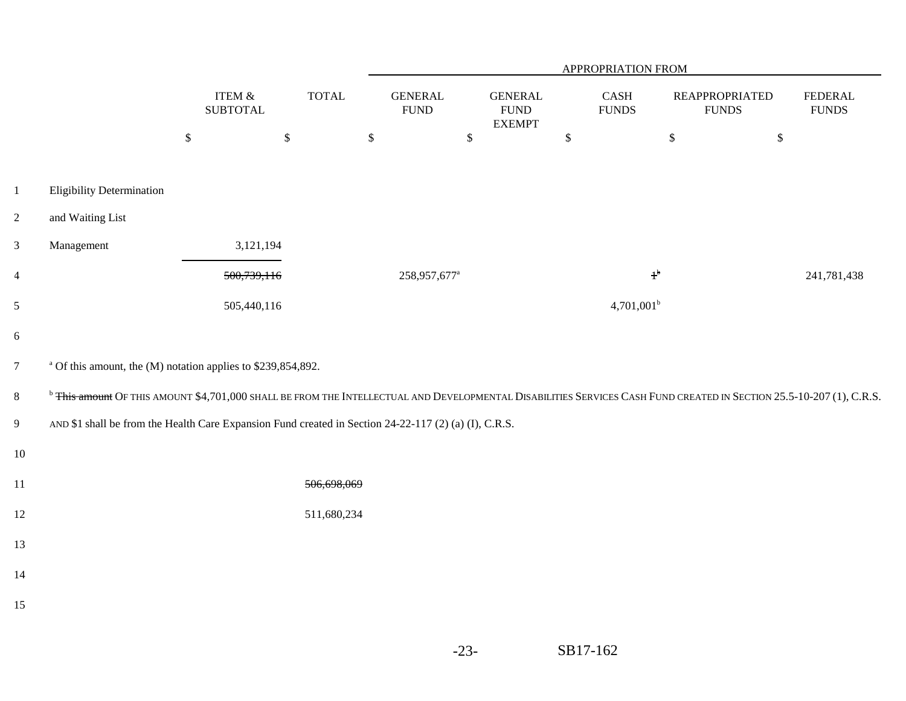|                |                                                                                                                                                                                 |                              |              |                                |              |                                                 |              | APPROPRIATION FROM                        |                                       |                                 |
|----------------|---------------------------------------------------------------------------------------------------------------------------------------------------------------------------------|------------------------------|--------------|--------------------------------|--------------|-------------------------------------------------|--------------|-------------------------------------------|---------------------------------------|---------------------------------|
|                |                                                                                                                                                                                 | ITEM $\&$<br><b>SUBTOTAL</b> | <b>TOTAL</b> | <b>GENERAL</b><br>${\rm FUND}$ |              | <b>GENERAL</b><br>${\rm FUND}$<br><b>EXEMPT</b> |              | $\operatorname{CASH}$<br>${\hbox{FUNDS}}$ | <b>REAPPROPRIATED</b><br><b>FUNDS</b> | <b>FEDERAL</b><br>${\rm FUNDS}$ |
|                |                                                                                                                                                                                 | $\mathbb{S}$                 | $\mathbb{S}$ | $\,$                           | $\mathbb{S}$ |                                                 | $\mathbb{S}$ |                                           | $\mathbb{S}$                          | $\mathbb{S}$                    |
| $\,1$          | <b>Eligibility Determination</b>                                                                                                                                                |                              |              |                                |              |                                                 |              |                                           |                                       |                                 |
| $\overline{c}$ | and Waiting List                                                                                                                                                                |                              |              |                                |              |                                                 |              |                                           |                                       |                                 |
| $\mathfrak{Z}$ | Management                                                                                                                                                                      | 3,121,194                    |              |                                |              |                                                 |              |                                           |                                       |                                 |
| $\overline{4}$ |                                                                                                                                                                                 | 500,739,116                  |              | 258,957,677 <sup>a</sup>       |              |                                                 |              | $1^{\rm b}$                               |                                       | 241,781,438                     |
| $\mathfrak{S}$ |                                                                                                                                                                                 | 505,440,116                  |              |                                |              |                                                 |              | $4,701,001^b$                             |                                       |                                 |
| 6              |                                                                                                                                                                                 |                              |              |                                |              |                                                 |              |                                           |                                       |                                 |
| $\overline{7}$ | <sup>a</sup> Of this amount, the (M) notation applies to \$239,854,892.                                                                                                         |                              |              |                                |              |                                                 |              |                                           |                                       |                                 |
| $8\,$          | <sup>b</sup> This amount OF THIS AMOUNT \$4,701,000 SHALL BE FROM THE INTELLECTUAL AND DEVELOPMENTAL DISABILITIES SERVICES CASH FUND CREATED IN SECTION 25.5-10-207 (1), C.R.S. |                              |              |                                |              |                                                 |              |                                           |                                       |                                 |
| $\overline{9}$ | AND \$1 shall be from the Health Care Expansion Fund created in Section 24-22-117 (2) (a) (I), C.R.S.                                                                           |                              |              |                                |              |                                                 |              |                                           |                                       |                                 |
| $10\,$         |                                                                                                                                                                                 |                              |              |                                |              |                                                 |              |                                           |                                       |                                 |
| 11             |                                                                                                                                                                                 |                              | 506,698,069  |                                |              |                                                 |              |                                           |                                       |                                 |
| $12\,$         |                                                                                                                                                                                 |                              | 511,680,234  |                                |              |                                                 |              |                                           |                                       |                                 |
| 13             |                                                                                                                                                                                 |                              |              |                                |              |                                                 |              |                                           |                                       |                                 |
| 14             |                                                                                                                                                                                 |                              |              |                                |              |                                                 |              |                                           |                                       |                                 |
| 15             |                                                                                                                                                                                 |                              |              |                                |              |                                                 |              |                                           |                                       |                                 |
|                |                                                                                                                                                                                 |                              |              |                                |              |                                                 |              |                                           |                                       |                                 |

-23-SB17-162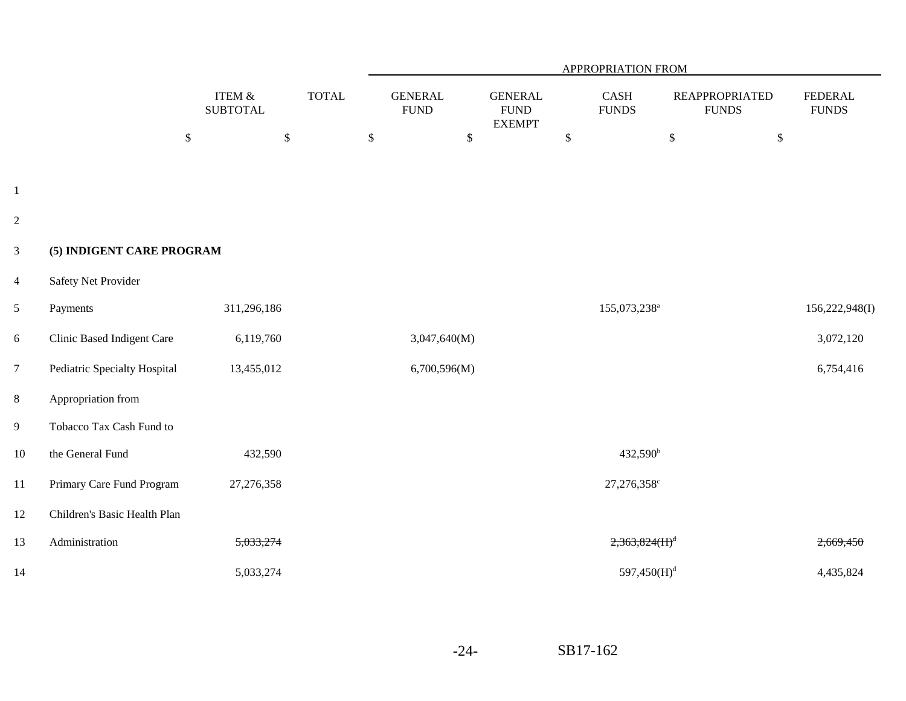|                         |                              |                              |              |              |                               |                                                |      | APPROPRIATION FROM                    |                                       |                                |
|-------------------------|------------------------------|------------------------------|--------------|--------------|-------------------------------|------------------------------------------------|------|---------------------------------------|---------------------------------------|--------------------------------|
|                         |                              | ITEM $\&$<br><b>SUBTOTAL</b> | <b>TOTAL</b> |              | <b>GENERAL</b><br><b>FUND</b> | <b>GENERAL</b><br><b>FUND</b><br><b>EXEMPT</b> |      | $\operatorname{CASH}$<br><b>FUNDS</b> | <b>REAPPROPRIATED</b><br><b>FUNDS</b> | <b>FEDERAL</b><br><b>FUNDS</b> |
|                         |                              | $\$$<br>$\mathcal{S}$        |              | $\mathbb{S}$ | $\mathbb{S}$                  |                                                | $\$$ |                                       | $\mathcal{S}$<br>$\mathbb{S}$         |                                |
| $\,1\,$                 |                              |                              |              |              |                               |                                                |      |                                       |                                       |                                |
| $\overline{2}$          |                              |                              |              |              |                               |                                                |      |                                       |                                       |                                |
| $\mathfrak{Z}$          | (5) INDIGENT CARE PROGRAM    |                              |              |              |                               |                                                |      |                                       |                                       |                                |
| $\overline{\mathbf{4}}$ | Safety Net Provider          |                              |              |              |                               |                                                |      |                                       |                                       |                                |
| 5                       | Payments                     | 311,296,186                  |              |              |                               |                                                |      | 155,073,238 <sup>a</sup>              |                                       | 156,222,948(I)                 |
| $\sqrt{6}$              | Clinic Based Indigent Care   | 6,119,760                    |              |              | 3,047,640(M)                  |                                                |      |                                       |                                       | 3,072,120                      |
| $\overline{7}$          | Pediatric Specialty Hospital | 13,455,012                   |              |              | 6,700,596(M)                  |                                                |      |                                       |                                       | 6,754,416                      |
| $\,8\,$                 | Appropriation from           |                              |              |              |                               |                                                |      |                                       |                                       |                                |
| 9                       | Tobacco Tax Cash Fund to     |                              |              |              |                               |                                                |      |                                       |                                       |                                |
| $10\,$                  | the General Fund             | 432,590                      |              |              |                               |                                                |      | 432,590 <sup>b</sup>                  |                                       |                                |
| $11\,$                  | Primary Care Fund Program    | 27,276,358                   |              |              |                               |                                                |      | 27,276,358 <sup>c</sup>               |                                       |                                |
| 12                      | Children's Basic Health Plan |                              |              |              |                               |                                                |      |                                       |                                       |                                |
| 13                      | Administration               | 5,033,274                    |              |              |                               |                                                |      | 2,363,824(H) <sup>d</sup>             |                                       | 2,669,450                      |
| 14                      |                              | 5,033,274                    |              |              |                               |                                                |      | 597,450(H) <sup>d</sup>               |                                       | 4,435,824                      |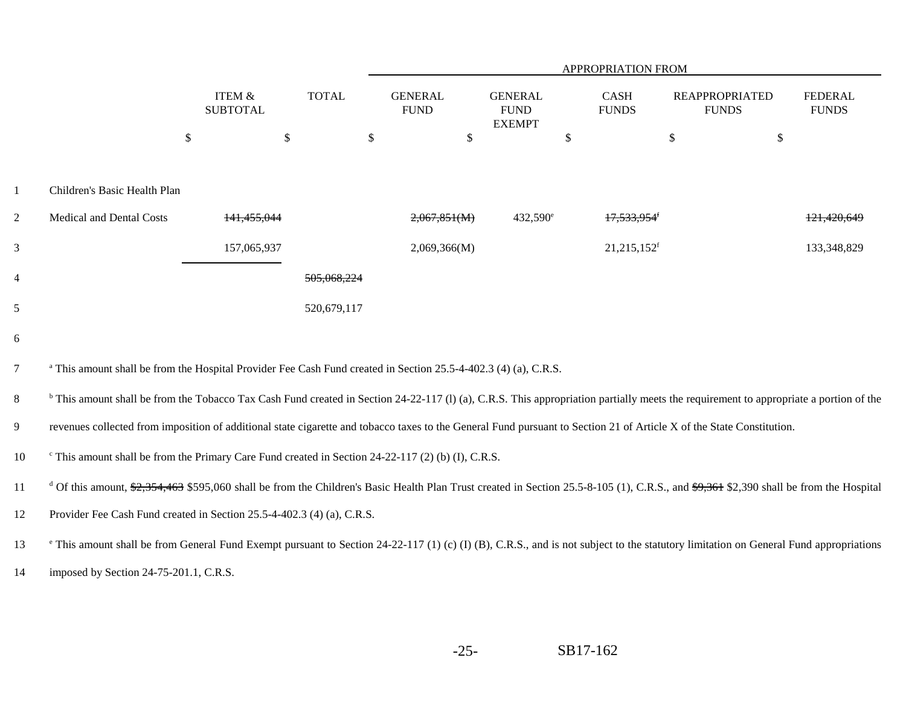|                |                                                                                                                                                                                                                     |                                      |                        |                               |                                                 | APPROPRIATION FROM        |                                       |                                |
|----------------|---------------------------------------------------------------------------------------------------------------------------------------------------------------------------------------------------------------------|--------------------------------------|------------------------|-------------------------------|-------------------------------------------------|---------------------------|---------------------------------------|--------------------------------|
|                |                                                                                                                                                                                                                     | <b>ITEM &amp;</b><br><b>SUBTOTAL</b> | <b>TOTAL</b>           | <b>GENERAL</b><br><b>FUND</b> | <b>GENERAL</b><br>${\rm FUND}$<br><b>EXEMPT</b> | CASH<br><b>FUNDS</b>      | <b>REAPPROPRIATED</b><br><b>FUNDS</b> | <b>FEDERAL</b><br><b>FUNDS</b> |
|                |                                                                                                                                                                                                                     | $\$\,$                               | $\mathcal{S}$          | \$                            | \$                                              | \$                        | $\mathcal{S}$                         | \$                             |
| 1              | Children's Basic Health Plan                                                                                                                                                                                        |                                      |                        |                               |                                                 |                           |                                       |                                |
| $\overline{2}$ | Medical and Dental Costs                                                                                                                                                                                            | <del>141,455,044</del>               |                        | 2,067,851(M)                  | 432,590 <sup>e</sup>                            |                           |                                       | 121,420,649                    |
| 3              |                                                                                                                                                                                                                     | 157,065,937                          |                        | 2,069,366(M)                  |                                                 | $21,215,152$ <sup>f</sup> |                                       | 133,348,829                    |
| $\overline{4}$ |                                                                                                                                                                                                                     |                                      | <del>505.068.224</del> |                               |                                                 |                           |                                       |                                |
| 5              |                                                                                                                                                                                                                     |                                      | 520,679,117            |                               |                                                 |                           |                                       |                                |
| $6\,$          |                                                                                                                                                                                                                     |                                      |                        |                               |                                                 |                           |                                       |                                |
| $\overline{7}$ | <sup>a</sup> This amount shall be from the Hospital Provider Fee Cash Fund created in Section 25.5-4-402.3 (4) (a), C.R.S.                                                                                          |                                      |                        |                               |                                                 |                           |                                       |                                |
| $8\,$          | <sup>b</sup> This amount shall be from the Tobacco Tax Cash Fund created in Section 24-22-117 (1) (a), C.R.S. This appropriation partially meets the requirement to appropriate a portion of the                    |                                      |                        |                               |                                                 |                           |                                       |                                |
| $\overline{9}$ | revenues collected from imposition of additional state cigarette and tobacco taxes to the General Fund pursuant to Section 21 of Article X of the State Constitution.                                               |                                      |                        |                               |                                                 |                           |                                       |                                |
| 10             | <sup>c</sup> This amount shall be from the Primary Care Fund created in Section 24-22-117 (2) (b) (I), C.R.S.                                                                                                       |                                      |                        |                               |                                                 |                           |                                       |                                |
| 11             | <sup>d</sup> Of this amount, $\frac{62}{3554463}$ \$595,060 shall be from the Children's Basic Health Plan Trust created in Section 25.5-8-105 (1), C.R.S., and $\frac{69}{361}$ \$2,390 shall be from the Hospital |                                      |                        |                               |                                                 |                           |                                       |                                |
| 12             | Provider Fee Cash Fund created in Section 25.5-4-402.3 (4) (a), C.R.S.                                                                                                                                              |                                      |                        |                               |                                                 |                           |                                       |                                |
| 13             | <sup>e</sup> This amount shall be from General Fund Exempt pursuant to Section 24-22-117 (1) (c) (I) (B), C.R.S., and is not subject to the statutory limitation on General Fund appropriations                     |                                      |                        |                               |                                                 |                           |                                       |                                |
| 14             | imposed by Section 24-75-201.1, C.R.S.                                                                                                                                                                              |                                      |                        |                               |                                                 |                           |                                       |                                |

-25-SB17-162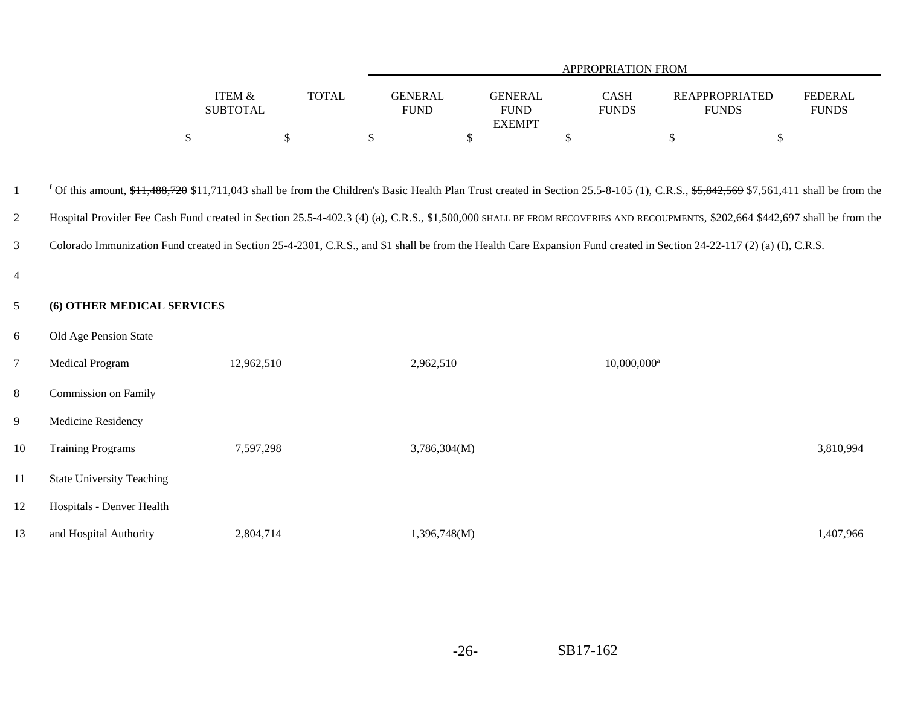|                           |              |                               |                               | <b>APPROPRIATION FROM</b>   |                                |                                |
|---------------------------|--------------|-------------------------------|-------------------------------|-----------------------------|--------------------------------|--------------------------------|
| ITEM &<br><b>SUBTOTAL</b> | <b>TOTAL</b> | <b>GENERAL</b><br><b>FUND</b> | <b>GENERAL</b><br><b>FUND</b> | <b>CASH</b><br><b>FUNDS</b> | REAPPROPRIATED<br><b>FUNDS</b> | <b>FEDERAL</b><br><b>FUNDS</b> |
|                           |              |                               | <b>EXEMPT</b>                 |                             |                                |                                |
|                           |              |                               |                               |                             |                                |                                |

| -1             |                                  |            |              | <sup>f</sup> Of this amount, \$ <del>11,488,720</del> \$11,711,043 shall be from the Children's Basic Health Plan Trust created in Section 25.5-8-105 (1), C.R.S., \$5,842,569 \$7,561,411 shall be from the |           |
|----------------|----------------------------------|------------|--------------|--------------------------------------------------------------------------------------------------------------------------------------------------------------------------------------------------------------|-----------|
| $\overline{2}$ |                                  |            |              | Hospital Provider Fee Cash Fund created in Section 25.5-4-402.3 (4) (a), C.R.S., \$1,500,000 SHALL BE FROM RECOVERIES AND RECOUPMENTS, \$202,664 \$442,697 shall be from the                                 |           |
| 3              |                                  |            |              | Colorado Immunization Fund created in Section 25-4-2301, C.R.S., and \$1 shall be from the Health Care Expansion Fund created in Section 24-22-117 (2) (a) (I), C.R.S.                                       |           |
| $\overline{4}$ |                                  |            |              |                                                                                                                                                                                                              |           |
| 5 <sup>5</sup> | (6) OTHER MEDICAL SERVICES       |            |              |                                                                                                                                                                                                              |           |
| 6              | Old Age Pension State            |            |              |                                                                                                                                                                                                              |           |
| $\overline{7}$ | <b>Medical Program</b>           | 12,962,510 | 2,962,510    | $10,000,000$ <sup>a</sup>                                                                                                                                                                                    |           |
| 8              | Commission on Family             |            |              |                                                                                                                                                                                                              |           |
| 9              | Medicine Residency               |            |              |                                                                                                                                                                                                              |           |
| 10             | <b>Training Programs</b>         | 7,597,298  | 3,786,304(M) |                                                                                                                                                                                                              | 3,810,994 |
| 11             | <b>State University Teaching</b> |            |              |                                                                                                                                                                                                              |           |
| 12             | Hospitals - Denver Health        |            |              |                                                                                                                                                                                                              |           |
| 13             | and Hospital Authority           | 2,804,714  | 1,396,748(M) |                                                                                                                                                                                                              | 1,407,966 |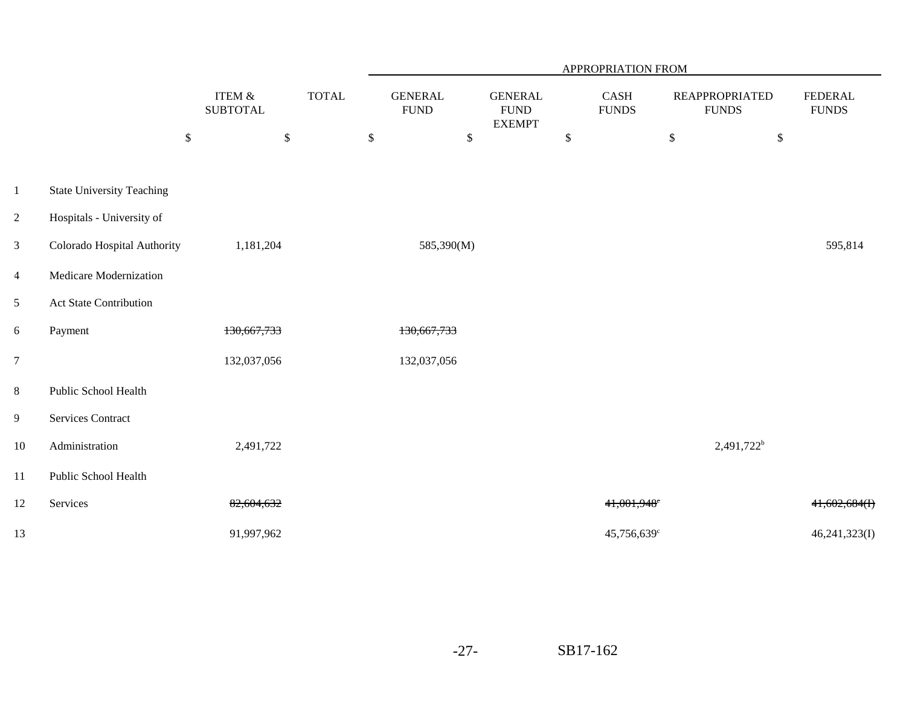|                  |                                  |                              |              |              |                                |      |                                                 |              | APPROPRIATION FROM      |      |                                       |                                |
|------------------|----------------------------------|------------------------------|--------------|--------------|--------------------------------|------|-------------------------------------------------|--------------|-------------------------|------|---------------------------------------|--------------------------------|
|                  |                                  | ITEM $\&$<br><b>SUBTOTAL</b> | <b>TOTAL</b> |              | <b>GENERAL</b><br>${\rm FUND}$ |      | <b>GENERAL</b><br>${\rm FUND}$<br><b>EXEMPT</b> |              | CASH<br><b>FUNDS</b>    |      | <b>REAPPROPRIATED</b><br><b>FUNDS</b> | <b>FEDERAL</b><br><b>FUNDS</b> |
|                  |                                  | $\mathbb{S}$<br>$\mathbb{S}$ |              | $\mathbb{S}$ |                                | $\$$ |                                                 | $\mathbb{S}$ |                         | $\$$ | $\$$                                  |                                |
|                  |                                  |                              |              |              |                                |      |                                                 |              |                         |      |                                       |                                |
| $\mathbf{1}$     | <b>State University Teaching</b> |                              |              |              |                                |      |                                                 |              |                         |      |                                       |                                |
| $\overline{2}$   | Hospitals - University of        |                              |              |              |                                |      |                                                 |              |                         |      |                                       |                                |
| $\mathfrak{Z}$   | Colorado Hospital Authority      | 1,181,204                    |              |              | 585,390(M)                     |      |                                                 |              |                         |      |                                       | 595,814                        |
| $\overline{4}$   | Medicare Modernization           |                              |              |              |                                |      |                                                 |              |                         |      |                                       |                                |
| 5                | <b>Act State Contribution</b>    |                              |              |              |                                |      |                                                 |              |                         |      |                                       |                                |
| $\boldsymbol{6}$ | Payment                          | 130,667,733                  |              |              | 130,667,733                    |      |                                                 |              |                         |      |                                       |                                |
| $\overline{7}$   |                                  | 132,037,056                  |              |              | 132,037,056                    |      |                                                 |              |                         |      |                                       |                                |
| $8\,$            | Public School Health             |                              |              |              |                                |      |                                                 |              |                         |      |                                       |                                |
| 9                | Services Contract                |                              |              |              |                                |      |                                                 |              |                         |      |                                       |                                |
| 10               | Administration                   | 2,491,722                    |              |              |                                |      |                                                 |              |                         |      | $2,491,722^b$                         |                                |
| 11               | Public School Health             |                              |              |              |                                |      |                                                 |              |                         |      |                                       |                                |
| 12               | Services                         | 82,604,632                   |              |              |                                |      |                                                 |              | 41,001,948 <sup>c</sup> |      |                                       | $41,602,684$ (I)               |
| 13               |                                  | 91,997,962                   |              |              |                                |      |                                                 |              | 45,756,639c             |      |                                       | 46,241,323(I)                  |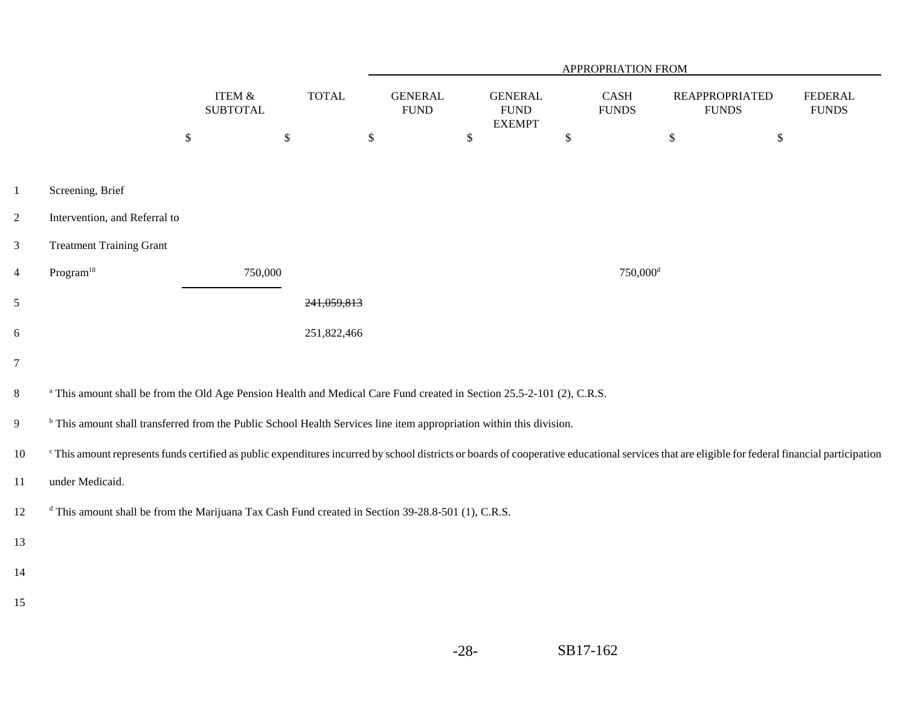|                |                                                                                                                                                                                                 |                           |              |                               |        |                                                 |              | APPROPRIATION FROM                    |                                       |              |                                |
|----------------|-------------------------------------------------------------------------------------------------------------------------------------------------------------------------------------------------|---------------------------|--------------|-------------------------------|--------|-------------------------------------------------|--------------|---------------------------------------|---------------------------------------|--------------|--------------------------------|
|                |                                                                                                                                                                                                 | ITEM &<br><b>SUBTOTAL</b> | <b>TOTAL</b> | <b>GENERAL</b><br><b>FUND</b> |        | <b>GENERAL</b><br>${\rm FUND}$<br><b>EXEMPT</b> |              | $\operatorname{CASH}$<br><b>FUNDS</b> | <b>REAPPROPRIATED</b><br><b>FUNDS</b> |              | <b>FEDERAL</b><br><b>FUNDS</b> |
|                |                                                                                                                                                                                                 | $\mathbb{S}$<br>$\$$      |              | $\mathbb{S}$                  | $\$\,$ |                                                 | $\mathbb{S}$ |                                       | \$                                    | $\mathbb{S}$ |                                |
| $\mathbf{1}$   | Screening, Brief                                                                                                                                                                                |                           |              |                               |        |                                                 |              |                                       |                                       |              |                                |
| $\overline{c}$ | Intervention, and Referral to                                                                                                                                                                   |                           |              |                               |        |                                                 |              |                                       |                                       |              |                                |
| 3              | <b>Treatment Training Grant</b>                                                                                                                                                                 |                           |              |                               |        |                                                 |              |                                       |                                       |              |                                |
| $\overline{4}$ | Program <sup>18</sup>                                                                                                                                                                           | 750,000                   |              |                               |        |                                                 |              | $750,000$ <sup>d</sup>                |                                       |              |                                |
| 5              |                                                                                                                                                                                                 |                           | 241,059,813  |                               |        |                                                 |              |                                       |                                       |              |                                |
| 6              |                                                                                                                                                                                                 |                           | 251,822,466  |                               |        |                                                 |              |                                       |                                       |              |                                |
| $\overline{7}$ |                                                                                                                                                                                                 |                           |              |                               |        |                                                 |              |                                       |                                       |              |                                |
| 8              | <sup>a</sup> This amount shall be from the Old Age Pension Health and Medical Care Fund created in Section 25.5-2-101 (2), C.R.S.                                                               |                           |              |                               |        |                                                 |              |                                       |                                       |              |                                |
| 9              | <sup>b</sup> This amount shall transferred from the Public School Health Services line item appropriation within this division.                                                                 |                           |              |                               |        |                                                 |              |                                       |                                       |              |                                |
| 10             | "This amount represents funds certified as public expenditures incurred by school districts or boards of cooperative educational services that are eligible for federal financial participation |                           |              |                               |        |                                                 |              |                                       |                                       |              |                                |
| 11             | under Medicaid.                                                                                                                                                                                 |                           |              |                               |        |                                                 |              |                                       |                                       |              |                                |
| 12             | <sup>d</sup> This amount shall be from the Marijuana Tax Cash Fund created in Section 39-28.8-501 (1), C.R.S.                                                                                   |                           |              |                               |        |                                                 |              |                                       |                                       |              |                                |
| 13             |                                                                                                                                                                                                 |                           |              |                               |        |                                                 |              |                                       |                                       |              |                                |
| 14             |                                                                                                                                                                                                 |                           |              |                               |        |                                                 |              |                                       |                                       |              |                                |
| 15             |                                                                                                                                                                                                 |                           |              |                               |        |                                                 |              |                                       |                                       |              |                                |
|                |                                                                                                                                                                                                 |                           |              |                               |        |                                                 |              |                                       |                                       |              |                                |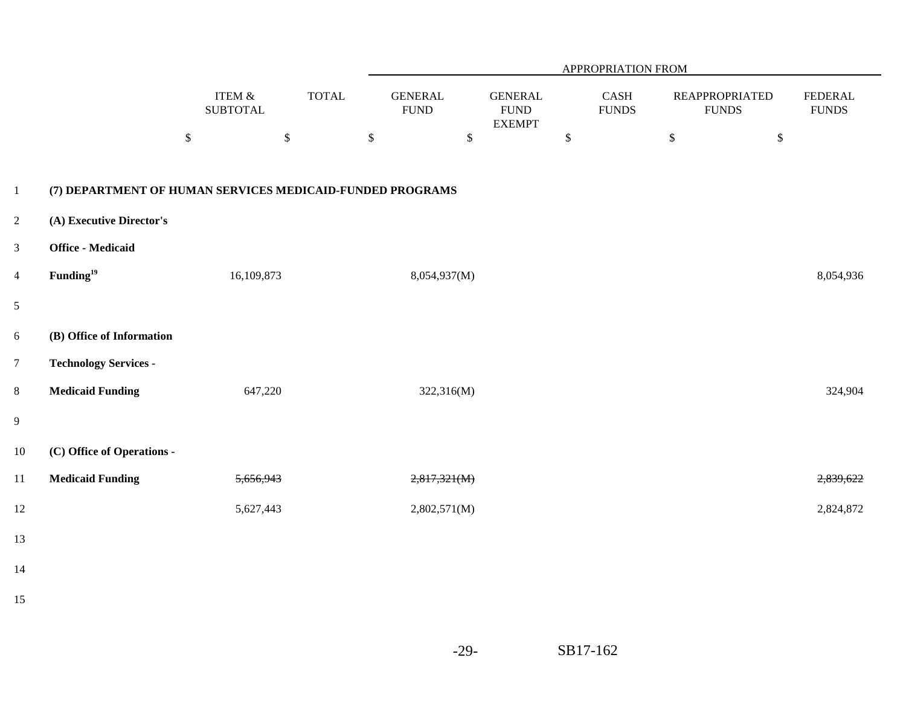|                |                                                           |                              |              |                                |              |                                                 | APPROPRIATION FROM    |                                       |              |                                 |
|----------------|-----------------------------------------------------------|------------------------------|--------------|--------------------------------|--------------|-------------------------------------------------|-----------------------|---------------------------------------|--------------|---------------------------------|
|                |                                                           | ITEM $\&$<br><b>SUBTOTAL</b> | <b>TOTAL</b> | <b>GENERAL</b><br>${\rm FUND}$ |              | <b>GENERAL</b><br>${\rm FUND}$<br><b>EXEMPT</b> | CASH<br>${\rm FUNDS}$ | <b>REAPPROPRIATED</b><br><b>FUNDS</b> |              | <b>FEDERAL</b><br>${\rm FUNDS}$ |
|                |                                                           | $\boldsymbol{\mathsf{S}}$    | $\$\,$       | $\mathbb{S}$                   | $\mathbb{S}$ | \$                                              |                       | $\mathbb{S}$                          | $\mathbb{S}$ |                                 |
| $\mathbf{1}$   | (7) DEPARTMENT OF HUMAN SERVICES MEDICAID-FUNDED PROGRAMS |                              |              |                                |              |                                                 |                       |                                       |              |                                 |
| $\overline{c}$ | (A) Executive Director's                                  |                              |              |                                |              |                                                 |                       |                                       |              |                                 |
| 3              | <b>Office - Medicaid</b>                                  |                              |              |                                |              |                                                 |                       |                                       |              |                                 |
| $\overline{4}$ | Funding <sup>19</sup>                                     | 16,109,873                   |              | 8,054,937(M)                   |              |                                                 |                       |                                       |              | 8,054,936                       |
| 5              |                                                           |                              |              |                                |              |                                                 |                       |                                       |              |                                 |
| 6              | (B) Office of Information                                 |                              |              |                                |              |                                                 |                       |                                       |              |                                 |
| $\overline{7}$ | <b>Technology Services -</b>                              |                              |              |                                |              |                                                 |                       |                                       |              |                                 |
| 8              | <b>Medicaid Funding</b>                                   | 647,220                      |              |                                | 322,316(M)   |                                                 |                       |                                       |              | 324,904                         |
| 9              |                                                           |                              |              |                                |              |                                                 |                       |                                       |              |                                 |
| 10             | (C) Office of Operations -                                |                              |              |                                |              |                                                 |                       |                                       |              |                                 |
| 11             | <b>Medicaid Funding</b>                                   | 5,656,943                    |              | 2,817,321(M)                   |              |                                                 |                       |                                       |              | 2,839,622                       |
| 12             |                                                           | 5,627,443                    |              | 2,802,571(M)                   |              |                                                 |                       |                                       |              | 2,824,872                       |
| 13             |                                                           |                              |              |                                |              |                                                 |                       |                                       |              |                                 |
|                |                                                           |                              |              |                                |              |                                                 |                       |                                       |              |                                 |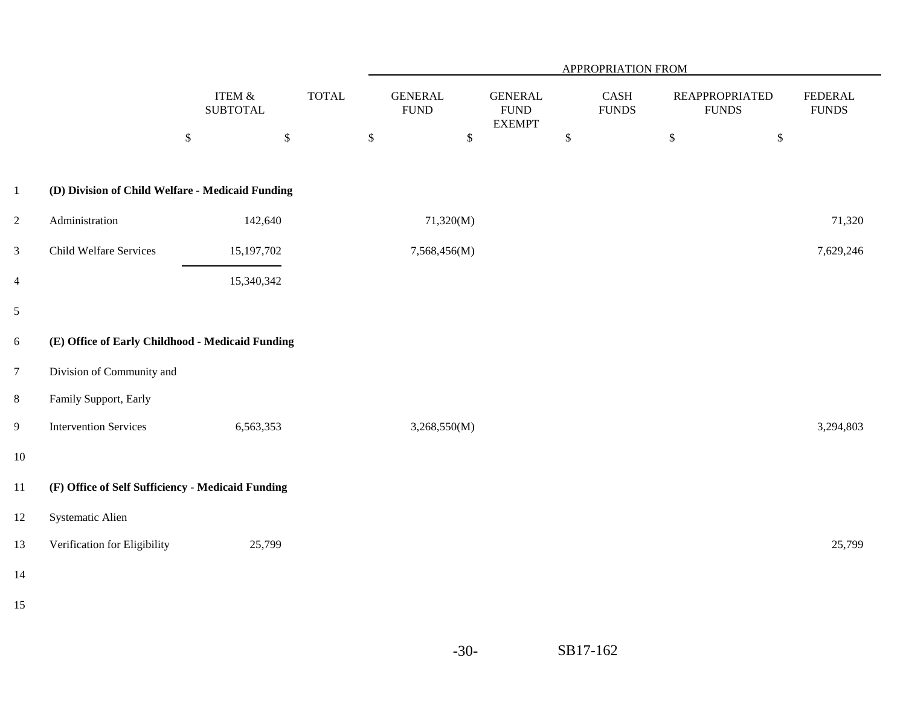|                |                                                   |                              |              |                                |                                                 | APPROPRIATION FROM                        |                                       |                                 |
|----------------|---------------------------------------------------|------------------------------|--------------|--------------------------------|-------------------------------------------------|-------------------------------------------|---------------------------------------|---------------------------------|
|                |                                                   | ITEM $\&$<br><b>SUBTOTAL</b> | <b>TOTAL</b> | <b>GENERAL</b><br>${\rm FUND}$ | <b>GENERAL</b><br>${\rm FUND}$<br><b>EXEMPT</b> | $\operatorname{CASH}$<br>${\hbox{FUNDS}}$ | <b>REAPPROPRIATED</b><br><b>FUNDS</b> | <b>FEDERAL</b><br>${\rm FUNDS}$ |
|                |                                                   | $\mathbb{S}$<br>$\mathbb{S}$ |              | $\mathbb{S}$<br>$\mathbb{S}$   |                                                 | $\mathbb{S}$                              | $\mathbb{S}$<br>$\$\,$                |                                 |
| $\mathbf{1}$   | (D) Division of Child Welfare - Medicaid Funding  |                              |              |                                |                                                 |                                           |                                       |                                 |
| $\overline{c}$ | Administration                                    | 142,640                      |              | 71,320(M)                      |                                                 |                                           |                                       | 71,320                          |
| 3              | <b>Child Welfare Services</b>                     | 15, 197, 702                 |              | 7,568,456(M)                   |                                                 |                                           |                                       | 7,629,246                       |
| $\overline{4}$ |                                                   | 15,340,342                   |              |                                |                                                 |                                           |                                       |                                 |
| $\mathfrak s$  |                                                   |                              |              |                                |                                                 |                                           |                                       |                                 |
| 6              | (E) Office of Early Childhood - Medicaid Funding  |                              |              |                                |                                                 |                                           |                                       |                                 |
| $\overline{7}$ | Division of Community and                         |                              |              |                                |                                                 |                                           |                                       |                                 |
| 8              | Family Support, Early                             |                              |              |                                |                                                 |                                           |                                       |                                 |
| $\overline{9}$ | <b>Intervention Services</b>                      | 6,563,353                    |              | 3,268,550(M)                   |                                                 |                                           |                                       | 3,294,803                       |
| $10\,$         |                                                   |                              |              |                                |                                                 |                                           |                                       |                                 |
| 11             | (F) Office of Self Sufficiency - Medicaid Funding |                              |              |                                |                                                 |                                           |                                       |                                 |
| 12             | Systematic Alien                                  |                              |              |                                |                                                 |                                           |                                       |                                 |
| 13             | Verification for Eligibility                      | 25,799                       |              |                                |                                                 |                                           |                                       | 25,799                          |
| 14             |                                                   |                              |              |                                |                                                 |                                           |                                       |                                 |
| 15             |                                                   |                              |              |                                |                                                 |                                           |                                       |                                 |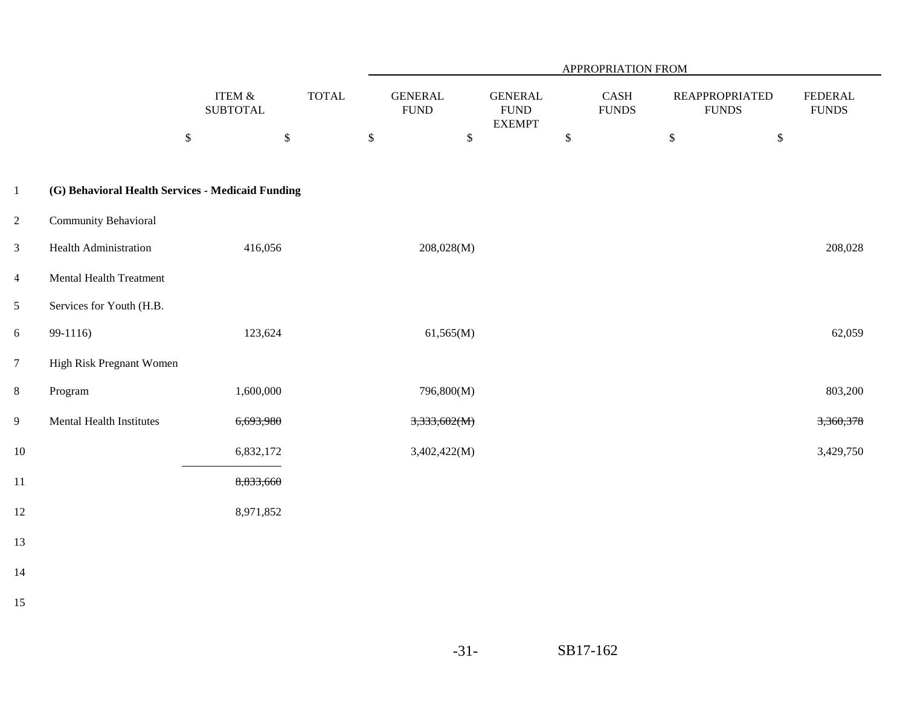|                |                                                   |                              |              |                                |                                                 | APPROPRIATION FROM   |                                       |                                |
|----------------|---------------------------------------------------|------------------------------|--------------|--------------------------------|-------------------------------------------------|----------------------|---------------------------------------|--------------------------------|
|                |                                                   | ITEM $\&$<br><b>SUBTOTAL</b> | <b>TOTAL</b> | <b>GENERAL</b><br>${\rm FUND}$ | <b>GENERAL</b><br>${\rm FUND}$<br><b>EXEMPT</b> | CASH<br><b>FUNDS</b> | <b>REAPPROPRIATED</b><br><b>FUNDS</b> | <b>FEDERAL</b><br><b>FUNDS</b> |
|                |                                                   | $\mathbb{S}$<br>$\mathbb S$  | $\mathbb S$  | $\mathbb{S}$                   |                                                 | $\mathbb{S}$         | $\mathbb S$<br>$\$$                   |                                |
| $\mathbf{1}$   | (G) Behavioral Health Services - Medicaid Funding |                              |              |                                |                                                 |                      |                                       |                                |
| $\overline{2}$ | Community Behavioral                              |                              |              |                                |                                                 |                      |                                       |                                |
| $\mathfrak{Z}$ | <b>Health Administration</b>                      | 416,056                      |              | 208,028(M)                     |                                                 |                      |                                       | 208,028                        |
| $\overline{4}$ | <b>Mental Health Treatment</b>                    |                              |              |                                |                                                 |                      |                                       |                                |
| 5              | Services for Youth (H.B.                          |                              |              |                                |                                                 |                      |                                       |                                |
| 6              | 99-1116)                                          | 123,624                      |              | 61,565(M)                      |                                                 |                      |                                       | 62,059                         |
| $\overline{7}$ | High Risk Pregnant Women                          |                              |              |                                |                                                 |                      |                                       |                                |
| 8              | Program                                           | 1,600,000                    |              | 796,800(M)                     |                                                 |                      |                                       | 803,200                        |
| $\overline{9}$ | Mental Health Institutes                          | 6,693,980                    |              | 3,333,602(M)                   |                                                 |                      |                                       | 3,360,378                      |
| 10             |                                                   | 6,832,172                    |              | 3,402,422(M)                   |                                                 |                      |                                       | 3,429,750                      |
| $11\,$         |                                                   | 8,833,660                    |              |                                |                                                 |                      |                                       |                                |
| 12             |                                                   | 8,971,852                    |              |                                |                                                 |                      |                                       |                                |
| 13             |                                                   |                              |              |                                |                                                 |                      |                                       |                                |
| 14             |                                                   |                              |              |                                |                                                 |                      |                                       |                                |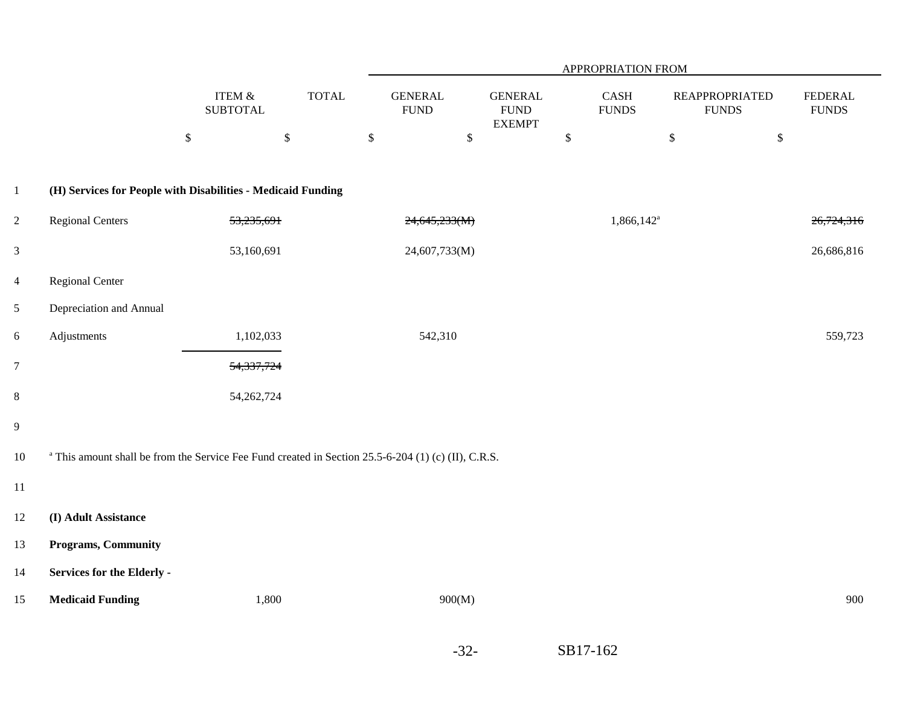|                |                                                                                                                |                              |              |                               | APPROPRIATION FROM |                                                |              |                          |                                       |              |                                |  |  |
|----------------|----------------------------------------------------------------------------------------------------------------|------------------------------|--------------|-------------------------------|--------------------|------------------------------------------------|--------------|--------------------------|---------------------------------------|--------------|--------------------------------|--|--|
|                |                                                                                                                | ITEM $\&$<br><b>SUBTOTAL</b> | <b>TOTAL</b> | <b>GENERAL</b><br><b>FUND</b> |                    | <b>GENERAL</b><br><b>FUND</b><br><b>EXEMPT</b> |              | CASH<br><b>FUNDS</b>     | <b>REAPPROPRIATED</b><br><b>FUNDS</b> |              | <b>FEDERAL</b><br><b>FUNDS</b> |  |  |
|                |                                                                                                                | $\mathbb{S}$                 | $\mathbb{S}$ | $\mathbb{S}$                  | $\mathbb{S}$       |                                                | $\mathbb{S}$ |                          | $\mathbb{S}$                          | $\mathbb{S}$ |                                |  |  |
| $\mathbf{1}$   | (H) Services for People with Disabilities - Medicaid Funding                                                   |                              |              |                               |                    |                                                |              |                          |                                       |              |                                |  |  |
| $\overline{c}$ | <b>Regional Centers</b>                                                                                        | 53,235,691                   |              | 24,645,233(M)                 |                    |                                                |              | $1,866,142$ <sup>a</sup> |                                       |              | 26,724,316                     |  |  |
| $\mathfrak{Z}$ |                                                                                                                | 53,160,691                   |              | 24,607,733(M)                 |                    |                                                |              |                          |                                       |              | 26,686,816                     |  |  |
| $\overline{4}$ | <b>Regional Center</b>                                                                                         |                              |              |                               |                    |                                                |              |                          |                                       |              |                                |  |  |
| 5              | Depreciation and Annual                                                                                        |                              |              |                               |                    |                                                |              |                          |                                       |              |                                |  |  |
| 6              | Adjustments                                                                                                    | 1,102,033                    |              | 542,310                       |                    |                                                |              |                          |                                       |              | 559,723                        |  |  |
| $\overline{7}$ |                                                                                                                | 54,337,724                   |              |                               |                    |                                                |              |                          |                                       |              |                                |  |  |
| $\,8$          |                                                                                                                | 54, 262, 724                 |              |                               |                    |                                                |              |                          |                                       |              |                                |  |  |
| 9              |                                                                                                                |                              |              |                               |                    |                                                |              |                          |                                       |              |                                |  |  |
| $10\,$         | <sup>a</sup> This amount shall be from the Service Fee Fund created in Section 25.5-6-204 (1) (c) (II), C.R.S. |                              |              |                               |                    |                                                |              |                          |                                       |              |                                |  |  |
| $11\,$         |                                                                                                                |                              |              |                               |                    |                                                |              |                          |                                       |              |                                |  |  |
| 12             | (I) Adult Assistance                                                                                           |                              |              |                               |                    |                                                |              |                          |                                       |              |                                |  |  |
| 13             | <b>Programs, Community</b>                                                                                     |                              |              |                               |                    |                                                |              |                          |                                       |              |                                |  |  |
| 14             | Services for the Elderly -                                                                                     |                              |              |                               |                    |                                                |              |                          |                                       |              |                                |  |  |
| 15             | <b>Medicaid Funding</b>                                                                                        | 1,800                        |              |                               | 900(M)             |                                                |              |                          |                                       |              | 900                            |  |  |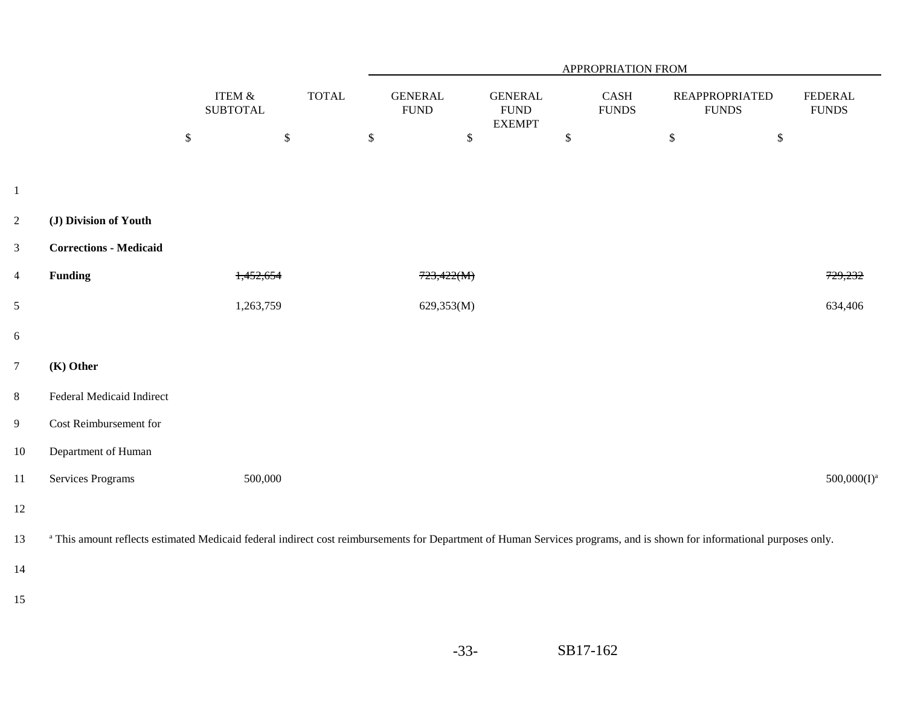|                |                                                                                                                                                                                    |                              | APPROPRIATION FROM |                                |                                                 |                      |                                       |                                |
|----------------|------------------------------------------------------------------------------------------------------------------------------------------------------------------------------------|------------------------------|--------------------|--------------------------------|-------------------------------------------------|----------------------|---------------------------------------|--------------------------------|
|                |                                                                                                                                                                                    | ITEM $\&$<br><b>SUBTOTAL</b> | <b>TOTAL</b>       | <b>GENERAL</b><br>${\rm FUND}$ | <b>GENERAL</b><br>${\rm FUND}$<br><b>EXEMPT</b> | CASH<br><b>FUNDS</b> | <b>REAPPROPRIATED</b><br><b>FUNDS</b> | <b>FEDERAL</b><br><b>FUNDS</b> |
|                |                                                                                                                                                                                    | $\mathbb{S}$<br>$\$\,$       | $\mathbb{S}$       | $\mathbb{S}$                   | $\$\,$                                          | $\mathbb{S}$         | $\mathbb{S}$                          |                                |
|                |                                                                                                                                                                                    |                              |                    |                                |                                                 |                      |                                       |                                |
| $\mathbf{1}$   |                                                                                                                                                                                    |                              |                    |                                |                                                 |                      |                                       |                                |
| $\overline{2}$ | (J) Division of Youth                                                                                                                                                              |                              |                    |                                |                                                 |                      |                                       |                                |
| $\mathfrak{Z}$ | <b>Corrections - Medicaid</b>                                                                                                                                                      |                              |                    |                                |                                                 |                      |                                       |                                |
| $\overline{4}$ | <b>Funding</b>                                                                                                                                                                     | 1,452,654                    |                    | 723,422(M)                     |                                                 |                      |                                       | 729,232                        |
| $\mathfrak{S}$ |                                                                                                                                                                                    | 1,263,759                    |                    | 629,353(M)                     |                                                 |                      |                                       | 634,406                        |
| 6              |                                                                                                                                                                                    |                              |                    |                                |                                                 |                      |                                       |                                |
| $\overline{7}$ | (K) Other                                                                                                                                                                          |                              |                    |                                |                                                 |                      |                                       |                                |
| $\,8\,$        | Federal Medicaid Indirect                                                                                                                                                          |                              |                    |                                |                                                 |                      |                                       |                                |
| 9              | Cost Reimbursement for                                                                                                                                                             |                              |                    |                                |                                                 |                      |                                       |                                |
| 10             | Department of Human                                                                                                                                                                |                              |                    |                                |                                                 |                      |                                       |                                |
| 11             | <b>Services Programs</b>                                                                                                                                                           | 500,000                      |                    |                                |                                                 |                      |                                       | $500,000(I)^a$                 |
| 12             |                                                                                                                                                                                    |                              |                    |                                |                                                 |                      |                                       |                                |
| 13             | <sup>a</sup> This amount reflects estimated Medicaid federal indirect cost reimbursements for Department of Human Services programs, and is shown for informational purposes only. |                              |                    |                                |                                                 |                      |                                       |                                |
| 14             |                                                                                                                                                                                    |                              |                    |                                |                                                 |                      |                                       |                                |
| 15             |                                                                                                                                                                                    |                              |                    |                                |                                                 |                      |                                       |                                |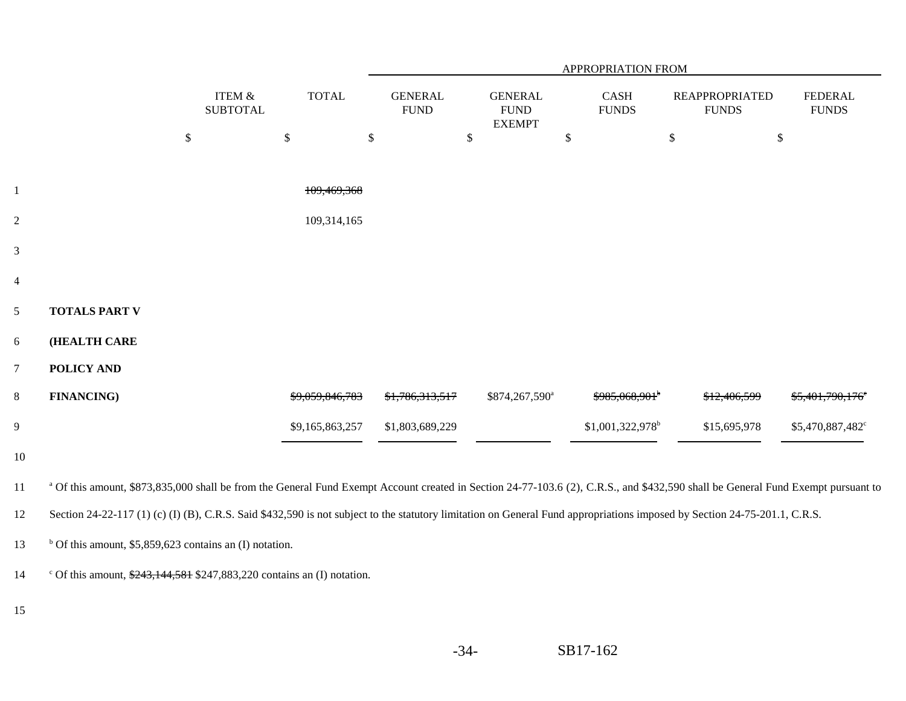|                |                                                                                                                                                                                             |                              |                 | APPROPRIATION FROM            |                                                |                              |                                       |                                |  |  |  |  |
|----------------|---------------------------------------------------------------------------------------------------------------------------------------------------------------------------------------------|------------------------------|-----------------|-------------------------------|------------------------------------------------|------------------------------|---------------------------------------|--------------------------------|--|--|--|--|
|                |                                                                                                                                                                                             | ITEM $\&$<br><b>SUBTOTAL</b> | <b>TOTAL</b>    | <b>GENERAL</b><br><b>FUND</b> | <b>GENERAL</b><br><b>FUND</b><br><b>EXEMPT</b> | CASH<br><b>FUNDS</b>         | <b>REAPPROPRIATED</b><br><b>FUNDS</b> | <b>FEDERAL</b><br><b>FUNDS</b> |  |  |  |  |
|                |                                                                                                                                                                                             | $\$\,$                       | $\mathcal{S}$   | $\mathcal{S}$                 | \$                                             | $\mathbb{S}$                 | $\boldsymbol{\mathsf{S}}$<br>$\$$     |                                |  |  |  |  |
|                |                                                                                                                                                                                             |                              |                 |                               |                                                |                              |                                       |                                |  |  |  |  |
| $\mathbf{1}$   |                                                                                                                                                                                             |                              | 109,469,368     |                               |                                                |                              |                                       |                                |  |  |  |  |
| $\overline{2}$ |                                                                                                                                                                                             |                              | 109,314,165     |                               |                                                |                              |                                       |                                |  |  |  |  |
| $\mathfrak{Z}$ |                                                                                                                                                                                             |                              |                 |                               |                                                |                              |                                       |                                |  |  |  |  |
| $\overline{4}$ |                                                                                                                                                                                             |                              |                 |                               |                                                |                              |                                       |                                |  |  |  |  |
| $\mathfrak{S}$ | <b>TOTALS PART V</b>                                                                                                                                                                        |                              |                 |                               |                                                |                              |                                       |                                |  |  |  |  |
| $6\,$          | (HEALTH CARE                                                                                                                                                                                |                              |                 |                               |                                                |                              |                                       |                                |  |  |  |  |
| $\overline{7}$ | POLICY AND                                                                                                                                                                                  |                              |                 |                               |                                                |                              |                                       |                                |  |  |  |  |
| $8\,$          | <b>FINANCING)</b>                                                                                                                                                                           |                              | \$9.059,846,783 | <del>\$1.786.313.517</del>    | \$874,267,590 <sup>a</sup>                     | \$985,068,901 <sup>b</sup>   | <del>\$12.406.599</del>               | <del>\$5.401.790.176</del> °   |  |  |  |  |
| $\overline{9}$ |                                                                                                                                                                                             |                              | \$9,165,863,257 | \$1,803,689,229               |                                                | \$1,001,322,978 <sup>b</sup> | \$15,695,978                          | \$5,470,887,482°               |  |  |  |  |
| 10             |                                                                                                                                                                                             |                              |                 |                               |                                                |                              |                                       |                                |  |  |  |  |
| 11             | <sup>a</sup> Of this amount, \$873,835,000 shall be from the General Fund Exempt Account created in Section 24-77-103.6 (2), C.R.S., and \$432,590 shall be General Fund Exempt pursuant to |                              |                 |                               |                                                |                              |                                       |                                |  |  |  |  |
| 12             | Section 24-22-117 (1) (c) (I) (B), C.R.S. Said \$432,590 is not subject to the statutory limitation on General Fund appropriations imposed by Section 24-75-201.1, C.R.S.                   |                              |                 |                               |                                                |                              |                                       |                                |  |  |  |  |
| 13             | $b$ Of this amount, \$5,859,623 contains an (I) notation.                                                                                                                                   |                              |                 |                               |                                                |                              |                                       |                                |  |  |  |  |
| 14             | ° Of this amount, $\frac{$243,144,581}{$247,883,220}$ contains an (I) notation.                                                                                                             |                              |                 |                               |                                                |                              |                                       |                                |  |  |  |  |
| 15             |                                                                                                                                                                                             |                              |                 |                               |                                                |                              |                                       |                                |  |  |  |  |
|                |                                                                                                                                                                                             |                              |                 |                               |                                                |                              |                                       |                                |  |  |  |  |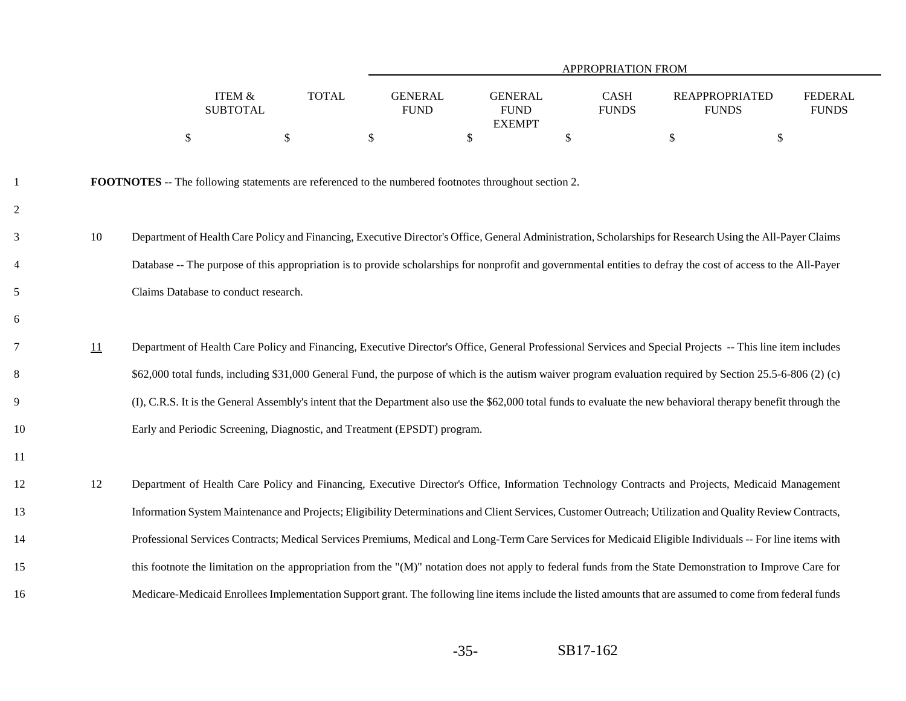|                |    |                                                                                                             |              | APPROPRIATION FROM            |                                                 |                      |                                                                                                                                                                  |                                |  |  |  |
|----------------|----|-------------------------------------------------------------------------------------------------------------|--------------|-------------------------------|-------------------------------------------------|----------------------|------------------------------------------------------------------------------------------------------------------------------------------------------------------|--------------------------------|--|--|--|
|                |    | <b>ITEM &amp;</b><br><b>SUBTOTAL</b>                                                                        | <b>TOTAL</b> | <b>GENERAL</b><br><b>FUND</b> | <b>GENERAL</b><br>${\rm FUND}$<br><b>EXEMPT</b> | CASH<br><b>FUNDS</b> | <b>REAPPROPRIATED</b><br><b>FUNDS</b>                                                                                                                            | <b>FEDERAL</b><br><b>FUNDS</b> |  |  |  |
|                |    | $\boldsymbol{\mathsf{S}}$                                                                                   | \$           | $\$$                          | \$                                              | $\$\,$               | \$<br>$\boldsymbol{\mathsf{S}}$                                                                                                                                  |                                |  |  |  |
| $\mathbf{1}$   |    | <b>FOOTNOTES</b> -- The following statements are referenced to the numbered footnotes throughout section 2. |              |                               |                                                 |                      |                                                                                                                                                                  |                                |  |  |  |
| $\overline{c}$ |    |                                                                                                             |              |                               |                                                 |                      |                                                                                                                                                                  |                                |  |  |  |
| 3              | 10 |                                                                                                             |              |                               |                                                 |                      | Department of Health Care Policy and Financing, Executive Director's Office, General Administration, Scholarships for Research Using the All-Payer Claims        |                                |  |  |  |
| $\overline{4}$ |    |                                                                                                             |              |                               |                                                 |                      | Database -- The purpose of this appropriation is to provide scholarships for nonprofit and governmental entities to defray the cost of access to the All-Payer   |                                |  |  |  |
| 5              |    | Claims Database to conduct research.                                                                        |              |                               |                                                 |                      |                                                                                                                                                                  |                                |  |  |  |
| 6              |    |                                                                                                             |              |                               |                                                 |                      |                                                                                                                                                                  |                                |  |  |  |
| 7              | 11 |                                                                                                             |              |                               |                                                 |                      | Department of Health Care Policy and Financing, Executive Director's Office, General Professional Services and Special Projects -- This line item includes       |                                |  |  |  |
| 8              |    |                                                                                                             |              |                               |                                                 |                      | \$62,000 total funds, including \$31,000 General Fund, the purpose of which is the autism waiver program evaluation required by Section 25.5-6-806 (2) (c)       |                                |  |  |  |
| 9              |    |                                                                                                             |              |                               |                                                 |                      | (I), C.R.S. It is the General Assembly's intent that the Department also use the \$62,000 total funds to evaluate the new behavioral therapy benefit through the |                                |  |  |  |
| 10             |    | Early and Periodic Screening, Diagnostic, and Treatment (EPSDT) program.                                    |              |                               |                                                 |                      |                                                                                                                                                                  |                                |  |  |  |
| 11             |    |                                                                                                             |              |                               |                                                 |                      |                                                                                                                                                                  |                                |  |  |  |
| 12             | 12 |                                                                                                             |              |                               |                                                 |                      | Department of Health Care Policy and Financing, Executive Director's Office, Information Technology Contracts and Projects, Medicaid Management                  |                                |  |  |  |
| 13             |    |                                                                                                             |              |                               |                                                 |                      | Information System Maintenance and Projects; Eligibility Determinations and Client Services, Customer Outreach; Utilization and Quality Review Contracts,        |                                |  |  |  |
| 14             |    |                                                                                                             |              |                               |                                                 |                      | Professional Services Contracts; Medical Services Premiums, Medical and Long-Term Care Services for Medicaid Eligible Individuals -- For line items with         |                                |  |  |  |
| 15             |    |                                                                                                             |              |                               |                                                 |                      | this footnote the limitation on the appropriation from the "(M)" notation does not apply to federal funds from the State Demonstration to Improve Care for       |                                |  |  |  |
| 16             |    |                                                                                                             |              |                               |                                                 |                      | Medicare-Medicaid Enrollees Implementation Support grant. The following line items include the listed amounts that are assumed to come from federal funds        |                                |  |  |  |

-35-SB17-162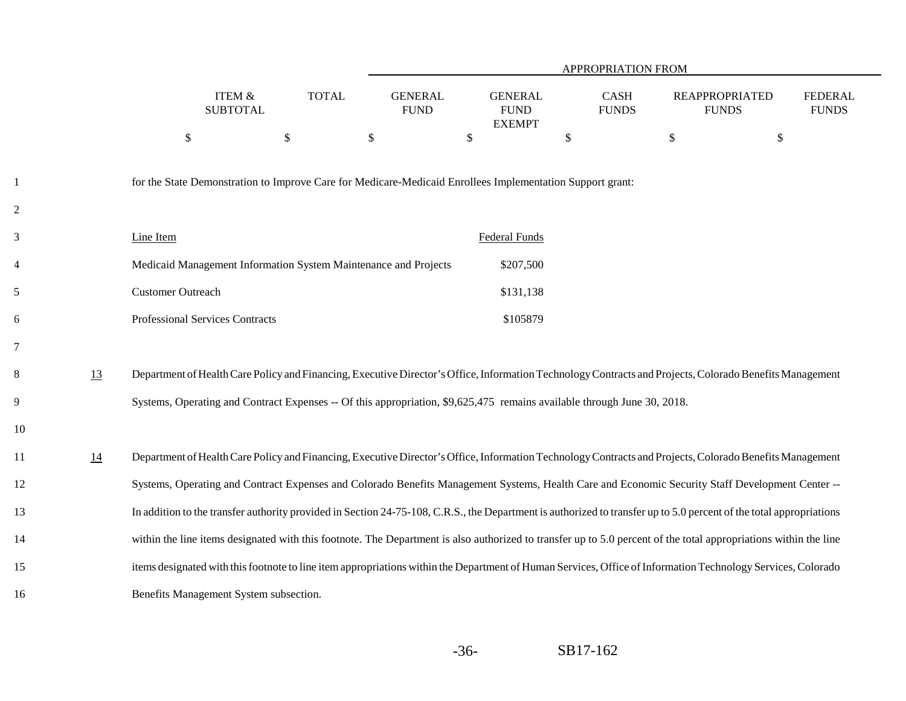|                |    |                                                                                                                                                                     |                                      |              |                               |              |                                                | APPROPRIATION FROM   |               |                                       |                                |
|----------------|----|---------------------------------------------------------------------------------------------------------------------------------------------------------------------|--------------------------------------|--------------|-------------------------------|--------------|------------------------------------------------|----------------------|---------------|---------------------------------------|--------------------------------|
|                |    |                                                                                                                                                                     | <b>ITEM &amp;</b><br><b>SUBTOTAL</b> | <b>TOTAL</b> | <b>GENERAL</b><br><b>FUND</b> |              | <b>GENERAL</b><br><b>FUND</b><br><b>EXEMPT</b> | CASH<br><b>FUNDS</b> |               | <b>REAPPROPRIATED</b><br><b>FUNDS</b> | <b>FEDERAL</b><br><b>FUNDS</b> |
|                |    | $\mathcal{S}$                                                                                                                                                       | $\mathcal{S}$                        |              | $\boldsymbol{\mathsf{S}}$     | $\mathbb{S}$ |                                                | \$                   | $\mathcal{S}$ | \$                                    |                                |
| -1             |    | for the State Demonstration to Improve Care for Medicare-Medicaid Enrollees Implementation Support grant:                                                           |                                      |              |                               |              |                                                |                      |               |                                       |                                |
| $\overline{2}$ |    |                                                                                                                                                                     |                                      |              |                               |              |                                                |                      |               |                                       |                                |
| 3              |    | Line Item                                                                                                                                                           |                                      |              |                               |              | Federal Funds                                  |                      |               |                                       |                                |
| 4              |    | Medicaid Management Information System Maintenance and Projects                                                                                                     |                                      |              |                               |              | \$207,500                                      |                      |               |                                       |                                |
| 5              |    | <b>Customer Outreach</b>                                                                                                                                            |                                      |              |                               |              | \$131,138                                      |                      |               |                                       |                                |
| 6              |    | Professional Services Contracts                                                                                                                                     |                                      |              |                               |              | \$105879                                       |                      |               |                                       |                                |
| 7              |    |                                                                                                                                                                     |                                      |              |                               |              |                                                |                      |               |                                       |                                |
| 8              | 13 | Department of Health Care Policy and Financing, Executive Director's Office, Information Technology Contracts and Projects, Colorado Benefits Management            |                                      |              |                               |              |                                                |                      |               |                                       |                                |
| 9              |    | Systems, Operating and Contract Expenses -- Of this appropriation, \$9,625,475 remains available through June 30, 2018.                                             |                                      |              |                               |              |                                                |                      |               |                                       |                                |
| 10             |    |                                                                                                                                                                     |                                      |              |                               |              |                                                |                      |               |                                       |                                |
| 11             | 14 | Department of Health Care Policy and Financing, Executive Director's Office, Information Technology Contracts and Projects, Colorado Benefits Management            |                                      |              |                               |              |                                                |                      |               |                                       |                                |
| 12             |    | Systems, Operating and Contract Expenses and Colorado Benefits Management Systems, Health Care and Economic Security Staff Development Center --                    |                                      |              |                               |              |                                                |                      |               |                                       |                                |
| 13             |    | In addition to the transfer authority provided in Section 24-75-108, C.R.S., the Department is authorized to transfer up to 5.0 percent of the total appropriations |                                      |              |                               |              |                                                |                      |               |                                       |                                |
| 14             |    | within the line items designated with this footnote. The Department is also authorized to transfer up to 5.0 percent of the total appropriations within the line    |                                      |              |                               |              |                                                |                      |               |                                       |                                |
| 15             |    | items designated with this footnote to line item appropriations within the Department of Human Services, Office of Information Technology Services, Colorado        |                                      |              |                               |              |                                                |                      |               |                                       |                                |
| 16             |    | Benefits Management System subsection.                                                                                                                              |                                      |              |                               |              |                                                |                      |               |                                       |                                |
|                |    |                                                                                                                                                                     |                                      |              |                               |              |                                                |                      |               |                                       |                                |

-36-SB17-162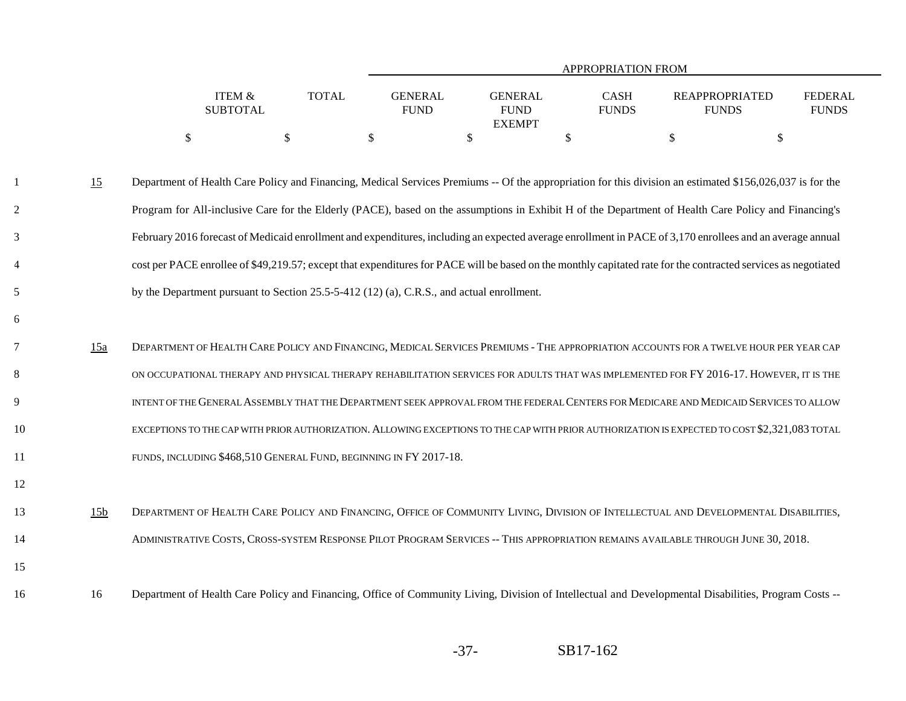|                   |              |                |                             | <b>APPROPRIATION FROM</b> |                |
|-------------------|--------------|----------------|-----------------------------|---------------------------|----------------|
|                   |              |                |                             |                           |                |
| <b>ITEM &amp;</b> | <b>TOTAL</b> | <b>GENERAL</b> | <b>CASH</b><br>GENERAL      | <b>REAPPROPRIATED</b>     | <b>FEDERAL</b> |
| <b>SUBTOTAL</b>   |              | <b>FUND</b>    | <b>FUNDS</b><br><b>FUND</b> | <b>FUNDS</b>              | <b>FUNDS</b>   |
|                   |              |                | <b>EXEMPT</b>               |                           |                |
|                   |              |                |                             |                           |                |

- 15 Department of Health Care Policy and Financing, Medical Services Premiums -- Of the appropriation for this division an estimated \$156,026,037 is for the Program for All-inclusive Care for the Elderly (PACE), based on the assumptions in Exhibit H of the Department of Health Care Policy and Financing's February 2016 forecast of Medicaid enrollment and expenditures, including an expected average enrollment in PACE of 3,170 enrollees and an average annual cost per PACE enrollee of \$49,219.57; except that expenditures for PACE will be based on the monthly capitated rate for the contracted services as negotiated by the Department pursuant to Section 25.5-5-412 (12) (a), C.R.S., and actual enrollment.
- 15a DEPARTMENT OF HEALTH CARE POLICY AND FINANCING, MEDICAL SERVICES PREMIUMS THE APPROPRIATION ACCOUNTS FOR A TWELVE HOUR PER YEAR CAP ON OCCUPATIONAL THERAPY AND PHYSICAL THERAPY REHABILITATION SERVICES FOR ADULTS THAT WAS IMPLEMENTED FOR FY 2016-17. HOWEVER, IT IS THE INTENT OF THE GENERAL ASSEMBLY THAT THE DEPARTMENT SEEK APPROVAL FROM THE FEDERAL CENTERS FOR MEDICARE AND MEDICAID SERVICES TO ALLOW EXCEPTIONS TO THE CAP WITH PRIOR AUTHORIZATION. ALLOWING EXCEPTIONS TO THE CAP WITH PRIOR AUTHORIZATION IS EXPECTED TO COST \$2,321,083 TOTAL FUNDS, INCLUDING \$468,510 GENERAL FUND, BEGINNING IN FY 2017-18.
- 13 15b DEPARTMENT OF HEALTH CARE POLICY AND FINANCING, OFFICE OF COMMUNITY LIVING, DIVISION OF INTELLECTUAL AND DEVELOPMENTAL DISABILITIES, ADMINISTRATIVE COSTS, CROSS-SYSTEM RESPONSE PILOT PROGRAM SERVICES -- THIS APPROPRIATION REMAINS AVAILABLE THROUGH JUNE 30, 2018.
- 1516

1

2

3

4

5

6

7

8

9

10

11

12

16 Department of Health Care Policy and Financing, Office of Community Living, Division of Intellectual and Developmental Disabilities, Program Costs --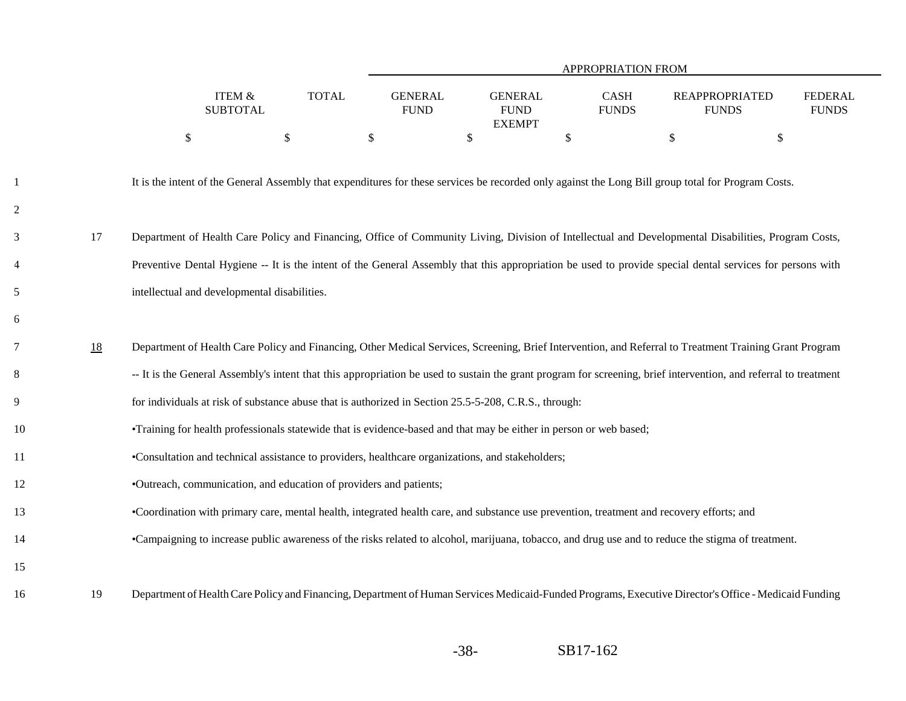|                |    |                                                                                                                                                                  | APPROPRIATION FROM |                               |                                                 |                      |                                                                                                                                                       |                                |  |  |  |  |  |
|----------------|----|------------------------------------------------------------------------------------------------------------------------------------------------------------------|--------------------|-------------------------------|-------------------------------------------------|----------------------|-------------------------------------------------------------------------------------------------------------------------------------------------------|--------------------------------|--|--|--|--|--|
|                |    | ITEM &<br><b>SUBTOTAL</b>                                                                                                                                        | <b>TOTAL</b>       | <b>GENERAL</b><br><b>FUND</b> | <b>GENERAL</b><br>${\rm FUND}$<br><b>EXEMPT</b> | CASH<br><b>FUNDS</b> | <b>REAPPROPRIATED</b><br><b>FUNDS</b>                                                                                                                 | <b>FEDERAL</b><br><b>FUNDS</b> |  |  |  |  |  |
|                |    | \$                                                                                                                                                               | $\mathcal{S}$      | $\boldsymbol{\mathsf{S}}$     | \$                                              | \$                   | \$<br>\$                                                                                                                                              |                                |  |  |  |  |  |
| $\overline{c}$ |    | It is the intent of the General Assembly that expenditures for these services be recorded only against the Long Bill group total for Program Costs.              |                    |                               |                                                 |                      |                                                                                                                                                       |                                |  |  |  |  |  |
| 3              | 17 | Department of Health Care Policy and Financing, Office of Community Living, Division of Intellectual and Developmental Disabilities, Program Costs,              |                    |                               |                                                 |                      |                                                                                                                                                       |                                |  |  |  |  |  |
| 4              |    | Preventive Dental Hygiene -- It is the intent of the General Assembly that this appropriation be used to provide special dental services for persons with        |                    |                               |                                                 |                      |                                                                                                                                                       |                                |  |  |  |  |  |
| 5              |    | intellectual and developmental disabilities.                                                                                                                     |                    |                               |                                                 |                      |                                                                                                                                                       |                                |  |  |  |  |  |
| б              |    |                                                                                                                                                                  |                    |                               |                                                 |                      |                                                                                                                                                       |                                |  |  |  |  |  |
| 7              | 18 | Department of Health Care Policy and Financing, Other Medical Services, Screening, Brief Intervention, and Referral to Treatment Training Grant Program          |                    |                               |                                                 |                      |                                                                                                                                                       |                                |  |  |  |  |  |
| 8              |    | -- It is the General Assembly's intent that this appropriation be used to sustain the grant program for screening, brief intervention, and referral to treatment |                    |                               |                                                 |                      |                                                                                                                                                       |                                |  |  |  |  |  |
| 9              |    | for individuals at risk of substance abuse that is authorized in Section 25.5-5-208, C.R.S., through:                                                            |                    |                               |                                                 |                      |                                                                                                                                                       |                                |  |  |  |  |  |
| 10             |    | •Training for health professionals statewide that is evidence-based and that may be either in person or web based;                                               |                    |                               |                                                 |                      |                                                                                                                                                       |                                |  |  |  |  |  |
| 11             |    | •Consultation and technical assistance to providers, healthcare organizations, and stakeholders;                                                                 |                    |                               |                                                 |                      |                                                                                                                                                       |                                |  |  |  |  |  |
| 12             |    | •Outreach, communication, and education of providers and patients;                                                                                               |                    |                               |                                                 |                      |                                                                                                                                                       |                                |  |  |  |  |  |
| 13             |    | •Coordination with primary care, mental health, integrated health care, and substance use prevention, treatment and recovery efforts; and                        |                    |                               |                                                 |                      |                                                                                                                                                       |                                |  |  |  |  |  |
| 14             |    |                                                                                                                                                                  |                    |                               |                                                 |                      | •Campaigning to increase public awareness of the risks related to alcohol, marijuana, tobacco, and drug use and to reduce the stigma of treatment.    |                                |  |  |  |  |  |
| 15             |    |                                                                                                                                                                  |                    |                               |                                                 |                      |                                                                                                                                                       |                                |  |  |  |  |  |
| 16             | 19 |                                                                                                                                                                  |                    |                               |                                                 |                      | Department of Health Care Policy and Financing, Department of Human Services Medicaid-Funded Programs, Executive Director's Office - Medicaid Funding |                                |  |  |  |  |  |

3

4

5

7

8

9

10

11

12

13

14

16

-38-SB17-162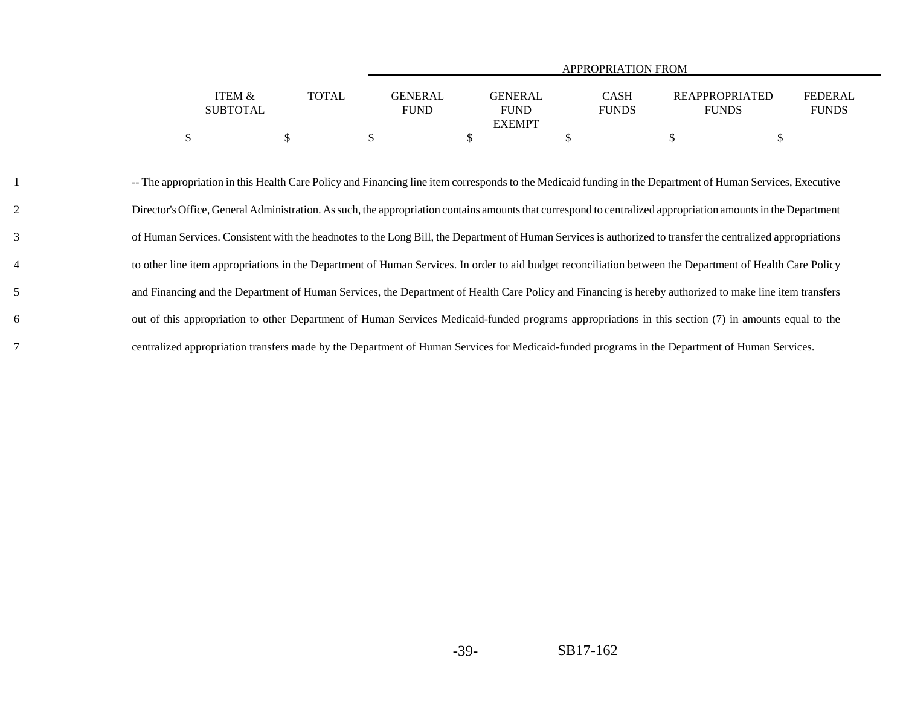|                           |              |                               | <b>APPROPRIATION FROM</b>                      |                             |                                       |                                |  |  |
|---------------------------|--------------|-------------------------------|------------------------------------------------|-----------------------------|---------------------------------------|--------------------------------|--|--|
| ITEM &<br><b>SUBTOTAL</b> | <b>TOTAL</b> | <b>GENERAL</b><br><b>FUND</b> | <b>GENERAL</b><br><b>FUND</b><br><b>EXEMPT</b> | <b>CASH</b><br><b>FUNDS</b> | <b>REAPPROPRIATED</b><br><b>FUNDS</b> | <b>FEDERAL</b><br><b>FUNDS</b> |  |  |
| \$                        |              |                               |                                                |                             |                                       |                                |  |  |

 -- The appropriation in this Health Care Policy and Financing line item corresponds to the Medicaid funding in the Department of Human Services, Executive Director's Office, General Administration. As such, the appropriation contains amounts that correspond to centralized appropriation amounts in the Department of Human Services. Consistent with the headnotes to the Long Bill, the Department of Human Services is authorized to transfer the centralized appropriations to other line item appropriations in the Department of Human Services. In order to aid budget reconciliation between the Department of Health Care Policy and Financing and the Department of Human Services, the Department of Health Care Policy and Financing is hereby authorized to make line item transfers out of this appropriation to other Department of Human Services Medicaid-funded programs appropriations in this section (7) in amounts equal to the centralized appropriation transfers made by the Department of Human Services for Medicaid-funded programs in the Department of Human Services.

1

2

3

4

5

6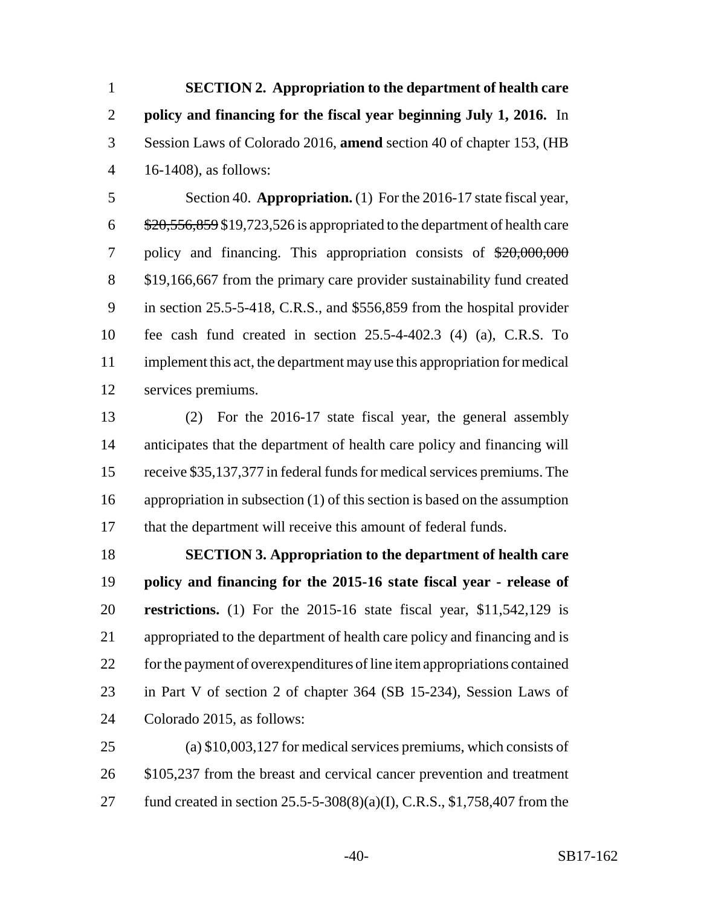**SECTION 2. Appropriation to the department of health care policy and financing for the fiscal year beginning July 1, 2016.** In Session Laws of Colorado 2016, **amend** section 40 of chapter 153, (HB 16-1408), as follows:

 Section 40. **Appropriation.** (1) For the 2016-17 state fiscal year,  $6\frac{$20,556,859}{$19,723,526$ is appropriate to the department of health care$  policy and financing. This appropriation consists of \$20,000,000 \$19,166,667 from the primary care provider sustainability fund created in section 25.5-5-418, C.R.S., and \$556,859 from the hospital provider fee cash fund created in section 25.5-4-402.3 (4) (a), C.R.S. To implement this act, the department may use this appropriation for medical services premiums.

 (2) For the 2016-17 state fiscal year, the general assembly anticipates that the department of health care policy and financing will receive \$35,137,377 in federal funds for medical services premiums. The appropriation in subsection (1) of this section is based on the assumption that the department will receive this amount of federal funds.

 **SECTION 3. Appropriation to the department of health care policy and financing for the 2015-16 state fiscal year - release of restrictions.** (1) For the 2015-16 state fiscal year, \$11,542,129 is appropriated to the department of health care policy and financing and is for the payment of overexpenditures of line item appropriations contained in Part V of section 2 of chapter 364 (SB 15-234), Session Laws of Colorado 2015, as follows:

 (a) \$10,003,127 for medical services premiums, which consists of 26 \$105,237 from the breast and cervical cancer prevention and treatment fund created in section 25.5-5-308(8)(a)(I), C.R.S., \$1,758,407 from the